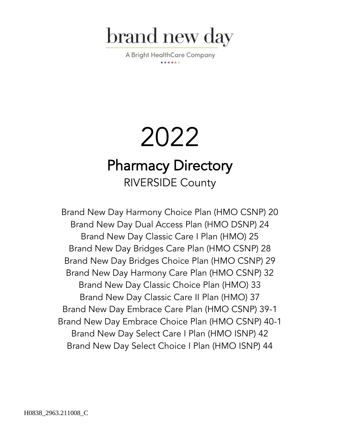

A Bright HealthCare Company

# 2022 Pharmacy Directory RIVERSIDE County

Brand New Day Harmony Choice Plan (HMO CSNP) 20 Brand New Day Dual Access Plan (HMO DSNP) 24 Brand New Day Classic Care I Plan (HMO) 25 Brand New Day Bridges Care Plan (HMO CSNP) 28 Brand New Day Bridges Choice Plan (HMO CSNP) 29 Brand New Day Harmony Care Plan (HMO CSNP) 32 Brand New Day Classic Choice Plan (HMO) 33 Brand New Day Classic Care II Plan (HMO) 37 Brand New Day Embrace Care Plan (HMO CSNP) 39-1 Brand New Day Embrace Choice Plan (HMO CSNP) 40-1 Brand New Day Select Care I Plan (HMO ISNP) 42 Brand New Day Select Choice I Plan (HMO ISNP) 44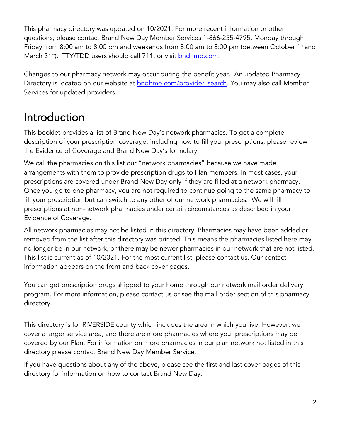This pharmacy directory was updated on 10/2021. For more recent information or other questions, please contact Brand New Day Member Services 1-866-255-4795, Monday through Friday from 8:00 am to 8:00 pm and weekends from 8:00 am to 8:00 pm (between October 1st and March 31<sup>st</sup>). TTY/TDD users should call 711, or visit **bndhmo.com**.

Changes to our pharmacy network may occur during the benefit year. An updated Pharmacy Directory is located on our website at **bndhmo.com/provider** search. You may also call Member Services for updated providers.

## Introduction

This booklet provides a list of Brand New Day's network pharmacies. To get a complete description of your prescription coverage, including how to fill your prescriptions, please review the Evidence of Coverage and Brand New Day's formulary.

We call the pharmacies on this list our "network pharmacies" because we have made arrangements with them to provide prescription drugs to Plan members. In most cases, your prescriptions are covered under Brand New Day only if they are filled at a network pharmacy. Once you go to one pharmacy, you are not required to continue going to the same pharmacy to fill your prescription but can switch to any other of our network pharmacies. We will fill prescriptions at non-network pharmacies under certain circumstances as described in your Evidence of Coverage.

All network pharmacies may not be listed in this directory. Pharmacies may have been added or removed from the list after this directory was printed. This means the pharmacies listed here may no longer be in our network, or there may be newer pharmacies in our network that are not listed. This list is current as of 10/2021. For the most current list, please contact us. Our contact information appears on the front and back cover pages.

You can get prescription drugs shipped to your home through our network mail order delivery program. For more information, please contact us or see the mail order section of this pharmacy directory.

This directory is for RIVERSIDE county which includes the area in which you live. However, we cover a larger service area, and there are more pharmacies where your prescriptions may be covered by our Plan. For information on more pharmacies in our plan network not listed in this directory please contact Brand New Day Member Service.

If you have questions about any of the above, please see the first and last cover pages of this directory for information on how to contact Brand New Day.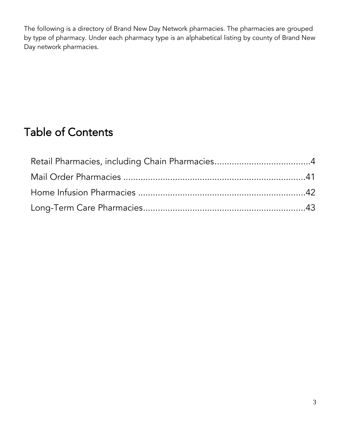The following is a directory of Brand New Day Network pharmacies. The pharmacies are grouped by type of pharmacy. Under each pharmacy type is an alphabetical listing by county of Brand New Day network pharmacies.

## Table of Contents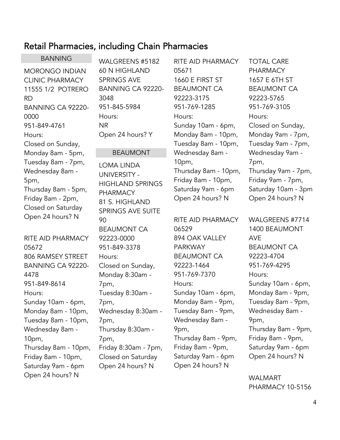## <span id="page-3-0"></span>Retail Pharmacies, including Chain Pharmacies

BANNING MORONGO INDIAN CLINIC PHARMACY 11555 1/2 POTRERO RD BANNING CA 92220- 0000 951-849-4761 Hours: Closed on Sunday, Monday 8am - 5pm, Tuesday 8am - 7pm, Wednesday 8am - 5pm, Thursday 8am - 5pm, Friday 8am - 2pm,

Closed on Saturday Open 24 hours? N

RITE AID PHARMACY 05672 806 RAMSEY STREET BANNING CA 92220- 4478 951-849-8614 Hours: Sunday 10am - 6pm, Monday 8am - 10pm, Tuesday 8am - 10pm, Wednesday 8am - 10pm, Thursday 8am - 10pm, Friday 8am - 10pm, Saturday 9am - 6pm Open 24 hours? N

WALGREENS #5182 60 N HIGHLAND SPRINGS AVE BANNING CA 92220- 3048 951-845-5984 Hours: NR Open 24 hours? Y

#### BEAUMONT

LOMA LINDA UNIVERSITY - HIGHLAND SPRINGS PHARMACY 81 S. HIGHLAND SPRINGS AVE SUITE 90 BEAUMONT CA 92223-0000 951-849-3378 Hours: Closed on Sunday, Monday 8:30am - 7pm, Tuesday 8:30am - 7pm, Wednesday 8:30am - 7pm, Thursday 8:30am - 7pm, Friday 8:30am - 7pm, Closed on Saturday Open 24 hours? N

RITE AID PHARMACY 05671 1660 E FIRST ST BEAUMONT CA 92223-3175 951-769-1285 Hours: Sunday 10am - 6pm, Monday 8am - 10pm, Tuesday 8am - 10pm, Wednesday 8am - 10pm, Thursday 8am - 10pm, Friday 8am - 10pm, Saturday 9am - 6pm Open 24 hours? N

RITE AID PHARMACY 06529 894 OAK VALLEY PARKWAY BEAUMONT CA 92223-1464 951-769-7370 Hours: Sunday 10am - 6pm, Monday 8am - 9pm, Tuesday 8am - 9pm, Wednesday 8am - 9pm, Thursday 8am - 9pm, Friday 8am - 9pm, Saturday 9am - 6pm Open 24 hours? N

TOTAL CARE PHARMACY 1657 E 6TH ST BEAUMONT CA 92223-5765 951-769-3105 Hours: Closed on Sunday, Monday 9am - 7pm, Tuesday 9am - 7pm, Wednesday 9am - 7pm, Thursday 9am - 7pm, Friday 9am - 7pm, Saturday 10am - 3pm Open 24 hours? N

WALGREENS #7714 1400 BEAUMONT AVE BEAUMONT CA 92223-4704 951-769-4295 Hours: Sunday 10am - 6pm, Monday 8am - 9pm, Tuesday 8am - 9pm, Wednesday 8am - 9pm, Thursday 8am - 9pm, Friday 8am - 9pm, Saturday 9am - 6pm Open 24 hours? N

WALMART PHARMACY 10-5156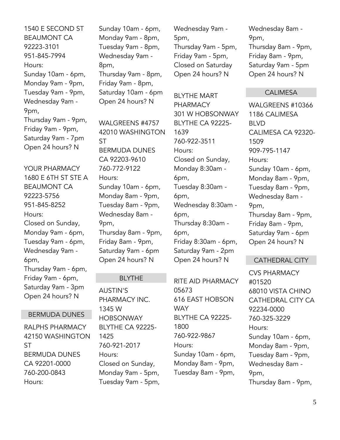1540 E SECOND ST BEAUMONT CA 92223-3101 951-845-7994 Hours: Sunday 10am - 6pm, Monday 9am - 9pm, Tuesday 9am - 9pm, Wednesday 9am - 9pm, Thursday 9am - 9pm, Friday 9am - 9pm, Saturday 9am - 7pm Open 24 hours? N

YOUR PHARMACY 1680 E 6TH ST STE A BEAUMONT CA 92223-5756 951-845-8252 Hours: Closed on Sunday, Monday 9am - 6pm, Tuesday 9am - 6pm, Wednesday 9am - 6pm, Thursday 9am - 6pm, Friday 9am - 6pm, Saturday 9am - 3pm Open 24 hours? N

#### BERMUDA DUNES

RALPHS PHARMACY 42150 WASHINGTON ST BERMUDA DUNES CA 92201-0000 760-200-0843 Hours:

Sunday 10am - 6pm, Monday 9am - 8pm, Tuesday 9am - 8pm, Wednesday 9am - 8pm, Thursday 9am - 8pm, Friday 9am - 8pm, Saturday 10am - 6pm Open 24 hours? N

WAI GRFFNS #4757 42010 WASHINGTON ST BERMUDA DUNES CA 92203-9610 760-772-9122 Hours: Sunday 10am - 6pm, Monday 8am - 9pm, Tuesday 8am - 9pm, Wednesday 8am - 9pm, Thursday 8am - 9pm, Friday 8am - 9pm, Saturday 9am - 6pm Open 24 hours? N

#### BLYTHE

AUSTIN'S PHARMACY INC. 1345 W HOBSONWAY BLYTHE CA 92225- 1425 760-921-2017 Hours: Closed on Sunday, Monday 9am - 5pm, Tuesday 9am - 5pm, Wednesday 9am - 5pm, Thursday 9am - 5pm, Friday 9am - 5pm, Closed on Saturday Open 24 hours? N

BLYTHE MART PHARMACY 301 W HOBSONWAY BLYTHE CA 92225- 1639 760-922-3511 Hours: Closed on Sunday, Monday 8:30am - 6pm, Tuesday 8:30am - 6pm, Wednesday 8:30am - 6pm, Thursday 8:30am - 6pm, Friday 8:30am - 6pm, Saturday 9am - 2pm Open 24 hours? N

RITE AID PHARMACY 05673 616 EAST HOBSON **WAY** BLYTHE CA 92225- 1800 760-922-9867 Hours: Sunday 10am - 6pm, Monday 8am - 9pm, Tuesday 8am - 9pm,

Wednesday 8am - 9pm, Thursday 8am - 9pm, Friday 8am - 9pm, Saturday 9am - 5pm Open 24 hours? N

#### CALIMESA

WALGREENS #10366 1186 CALIMESA BLVD CALIMESA CA 92320- 1509 909-795-1147 Hours: Sunday 10am - 6pm, Monday 8am - 9pm, Tuesday 8am - 9pm, Wednesday 8am - 9pm, Thursday 8am - 9pm, Friday 8am - 9pm, Saturday 9am - 6pm Open 24 hours? N

#### CATHEDRAL CITY

CVS PHARMACY #01520 68010 VISTA CHINO CATHEDRAL CITY CA 92234-0000 760-325-3229 Hours: Sunday 10am - 6pm, Monday 8am - 9pm, Tuesday 8am - 9pm, Wednesday 8am - 9pm, Thursday 8am - 9pm,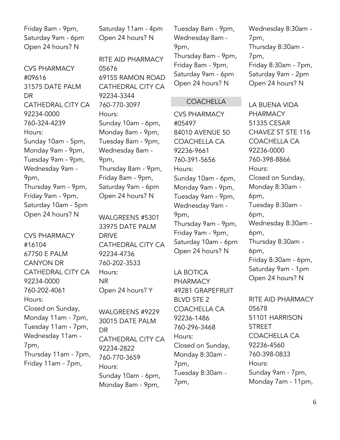Friday 8am - 9pm, Saturday 9am - 6pm Open 24 hours? N

CVS PHARMACY #09616 31575 DATE PALM DR CATHEDRAL CITY CA 92234-0000 760-324-4239 Hours: Sunday 10am - 5pm, Monday 9am - 9pm, Tuesday 9am - 9pm, Wednesday 9am - 9pm, Thursday 9am - 9pm, Friday 9am - 9pm, Saturday 10am - 5pm Open 24 hours? N

CVS PHARMACY #16104 67750 E PALM CANYON DR CATHEDRAL CITY CA 92234-0000 760-202-4061 Hours: Closed on Sunday, Monday 11am - 7pm, Tuesday 11am - 7pm, Wednesday 11am - 7pm, Thursday 11am - 7pm, Friday 11am - 7pm,

Saturday 11am - 4pm Open 24 hours? N

RITE AID PHARMACY 05676 69155 RAMON ROAD CATHEDRAL CITY CA 92234-3344 760-770-3097 Hours: Sunday 10am - 6pm, Monday 8am - 9pm, Tuesday 8am - 9pm, Wednesday 8am - 9pm, Thursday 8am - 9pm, Friday 8am - 9pm, Saturday 9am - 6pm Open 24 hours? N

WALGREENS #5301 33975 DATE PALM DRIVE CATHEDRAL CITY CA 92234-4736 760-202-3533 Hours: NR Open 24 hours? Y

WALGREENS #9229 30015 DATE PALM DR CATHEDRAL CITY CA 92234-2822 760-770-3659 Hours: Sunday 10am - 6pm, Monday 8am - 9pm,

Tuesday 8am - 9pm, Wednesday 8am - 9pm, Thursday 8am - 9pm, Friday 8am - 9pm, Saturday 9am - 6pm Open 24 hours? N

#### COACHELLA

CVS PHARMACY #05497 84010 AVENUE 50 COACHELLA CA 92236-9661 760-391-5656 Hours: Sunday 10am - 6pm, Monday 9am - 9pm, Tuesday 9am - 9pm, Wednesday 9am - 9pm, Thursday 9am - 9pm, Friday 9am - 9pm, Saturday 10am - 6pm Open 24 hours? N

LA BOTICA PHARMACY 49281 GRAPEFRUIT BLVD STE 2 COACHELLA CA 92236-1486 760-296-3468 Hours: Closed on Sunday, Monday 8:30am - 7pm, Tuesday 8:30am - 7pm,

Wednesday 8:30am - 7pm, Thursday 8:30am - 7pm, Friday 8:30am - 7pm, Saturday 9am - 2pm Open 24 hours? N

LA BUENA VIDA PHARMACY 51335 CESAR CHAVEZ ST STE 116 COACHELLA CA 92236-0000 760-398-8866 Hours: Closed on Sunday, Monday 8:30am - 6pm, Tuesday 8:30am - 6pm, Wednesday 8:30am - 6pm, Thursday 8:30am - 6pm, Friday 8:30am - 6pm, Saturday 9am - 1pm Open 24 hours? N

RITE AID PHARMACY 05678 51101 HARRISON **STREET** COACHELLA CA 92236-4560 760-398-0833 Hours: Sunday 9am - 7pm, Monday 7am - 11pm,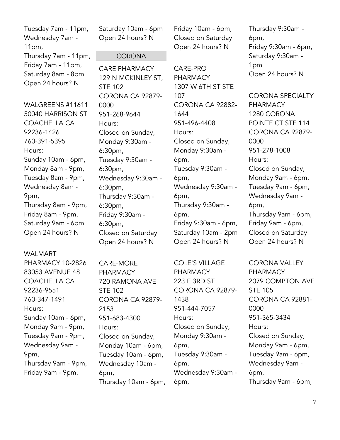Tuesday 7am - 11pm, Wednesday 7am - 11pm, Thursday 7am - 11pm, Friday 7am - 11pm, Saturday 8am - 8pm Open 24 hours? N

WALGREENS #11611 50040 HARRISON ST COACHELLA CA 92236-1426 760-391-5395 Hours: Sunday 10am - 6pm, Monday 8am - 9pm, Tuesday 8am - 9pm, Wednesday 8am - 9pm, Thursday 8am - 9pm, Friday 8am - 9pm, Saturday 9am - 6pm Open 24 hours? N

WALMART PHARMACY 10-2826 83053 AVENUE 48 COACHELLA CA 92236-9551 760-347-1491 Hours: Sunday 10am - 6pm, Monday 9am - 9pm, Tuesday 9am - 9pm, Wednesday 9am - 9pm, Thursday 9am - 9pm, Friday 9am - 9pm,

Saturday 10am - 6pm Open 24 hours? N

#### **CORONA**

CARE PHARMACY 129 N MCKINLEY ST, STE 102 CORONA CA 92879- 0000 951-268-9644 Hours: Closed on Sunday, Monday 9:30am - 6:30pm, Tuesday 9:30am - 6:30pm, Wednesday 9:30am - 6:30pm, Thursday 9:30am - 6:30pm, Friday 9:30am - 6:30pm, Closed on Saturday Open 24 hours? N

CARE-MORE PHARMACY 720 RAMONA AVE STE 102 CORONA CA 92879- 2153 951-683-4300 Hours: Closed on Sunday, Monday 10am - 6pm, Tuesday 10am - 6pm, Wednesday 10am - 6pm, Thursday 10am - 6pm,

Friday 10am - 6pm, Closed on Saturday Open 24 hours? N

CARE-PRO **PHARMACY** 1307 W 6TH ST STE 107 CORONA CA 92882- 1644 951-496-4408 Hours: Closed on Sunday, Monday 9:30am - 6pm, Tuesday 9:30am - 6pm, Wednesday 9:30am - 6pm, Thursday 9:30am - 6pm, Friday 9:30am - 6pm, Saturday 10am - 2pm Open 24 hours? N

COLE'S VILLAGE PHARMACY 223 E 3RD ST CORONA CA 92879- 1438 951-444-7057 Hours: Closed on Sunday, Monday 9:30am - 6pm, Tuesday 9:30am - 6pm, Wednesday 9:30am - 6pm,

Thursday 9:30am - 6pm, Friday 9:30am - 6pm, Saturday 9:30am - 1pm Open 24 hours? N

CORONA SPECIALTY PHARMACY 1280 CORONA POINTE CT STE 114 CORONA CA 92879- 0000 951-278-1008 Hours: Closed on Sunday, Monday 9am - 6pm, Tuesday 9am - 6pm, Wednesday 9am - 6pm, Thursday 9am - 6pm, Friday 9am - 6pm, Closed on Saturday Open 24 hours? N

CORONA VALLEY **PHARMACY** 2079 COMPTON AVE STE 105 CORONA CA 92881- 0000 951-365-3434 Hours: Closed on Sunday, Monday 9am - 6pm, Tuesday 9am - 6pm, Wednesday 9am - 6pm, Thursday 9am - 6pm,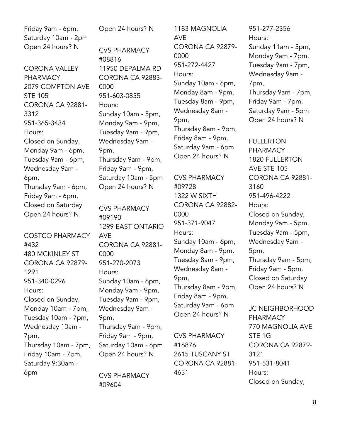Friday 9am - 6pm, Saturday 10am - 2pm Open 24 hours? N CORONA VALLEY PHARMACY 2079 COMPTON AVE STE 105 CORONA CA 92881- 3312 951-365-3434 Hours: Closed on Sunday, Monday 9am - 6pm, Tuesday 9am - 6pm, Wednesday 9am - 6pm, Thursday 9am - 6pm, Friday 9am - 6pm, Closed on Saturday Open 24 hours? N COSTCO PHARMACY #432 480 MCKINLEY ST CORONA CA 92879- 1291 951-340-0296 Hours: Closed on Sunday, Monday 10am - 7pm, Tuesday 10am - 7pm, Wednesday 10am - 7pm, Thursday 10am - 7pm, Friday 10am - 7pm, Saturday 9:30am - 6pm Open 24 hours? N CVS PHARMACY #08816 11950 DEPALMA RD CORONA CA 92883- 0000 951-603-0855 Hours: Sunday 10am - 5pm, Monday 9am - 9pm, Tuesday 9am - 9pm, Wednesday 9am - 9pm, Thursday 9am - 9pm, Friday 9am - 9pm, Saturday 10am - 5pm Open 24 hours? N CVS PHARMACY #09190 1299 EAST ONTARIO AVE CORONA CA 92881- 0000 951-270-2073 Hours: Sunday 10am - 6pm, Monday 9am - 9pm, Tuesday 9am - 9pm, Wednesday 9am - 9pm, Thursday 9am - 9pm, Friday 9am - 9pm, Saturday 10am - 6pm Open 24 hours? N CVS PHARMACY #09604

1183 MAGNOLIA AVE CORONA CA 92879- 0000 951-272-4427 Hours: Sunday 10am - 6pm, Monday 8am - 9pm, Tuesday 8am - 9pm, Wednesday 8am - 9pm, Thursday 8am - 9pm, Friday 8am - 9pm, Saturday 9am - 6pm Open 24 hours? N

CVS PHARMACY #09728 1322 W SIXTH CORONA CA 92882- 0000 951-371-9047 Hours: Sunday 10am - 6pm, Monday 8am - 9pm, Tuesday 8am - 9pm, Wednesday 8am - 9pm, Thursday 8am - 9pm, Friday 8am - 9pm, Saturday 9am - 6pm Open 24 hours? N

CVS PHARMACY #16876 2615 TUSCANY ST CORONA CA 92881- 4631

951-277-2356 Hours: Sunday 11am - 5pm, Monday 9am - 7pm, Tuesday 9am - 7pm, Wednesday 9am - 7pm, Thursday 9am - 7pm, Friday 9am - 7pm, Saturday 9am - 5pm Open 24 hours? N

FULLERTON PHARMACY 1820 FULLERTON AVE STE 105 CORONA CA 92881- 3160 951-496-4222 Hours: Closed on Sunday, Monday 9am - 5pm, Tuesday 9am - 5pm, Wednesday 9am - 5pm, Thursday 9am - 5pm, Friday 9am - 5pm, Closed on Saturday Open 24 hours? N

JC NEIGHBORHOOD PHARMACY 770 MAGNOLIA AVE STE 1G CORONA CA 92879- 3121 951-531-8041 Hours: Closed on Sunday,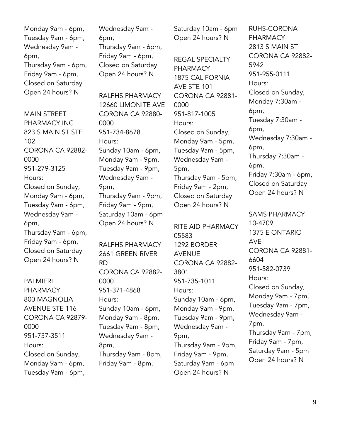Monday 9am - 6pm, Tuesday 9am - 6pm, Wednesday 9am - 6pm, Thursday 9am - 6pm, Friday 9am - 6pm, Closed on Saturday Open 24 hours? N

MAIN STRFFT PHARMACY INC 823 S MAIN ST STE 102 CORONA CA 92882- 0000 951-279-3125 Hours: Closed on Sunday, Monday 9am - 6pm, Tuesday 9am - 6pm, Wednesday 9am - 6pm, Thursday 9am - 6pm, Friday 9am - 6pm, Closed on Saturday Open 24 hours? N

PALMIERI PHARMACY 800 MAGNOLIA AVENUE STE 116 CORONA CA 92879- 0000 951-737-3511 Hours: Closed on Sunday, Monday 9am - 6pm, Tuesday 9am - 6pm,

Wednesday 9am - 6pm, Thursday 9am - 6pm, Friday 9am - 6pm, Closed on Saturday Open 24 hours? N

RALPHS PHARMACY 12660 LIMONITE AVE CORONA CA 92880- 0000 951-734-8678 Hours: Sunday 10am - 6pm, Monday 9am - 9pm, Tuesday 9am - 9pm, Wednesday 9am - 9pm, Thursday 9am - 9pm, Friday 9am - 9pm, Saturday 10am - 6pm Open 24 hours? N

RALPHS PHARMACY 2661 GREEN RIVER RD CORONA CA 92882- 0000 951-371-4868 Hours: Sunday 10am - 6pm, Monday 9am - 8pm, Tuesday 9am - 8pm, Wednesday 9am - 8pm, Thursday 9am - 8pm, Friday 9am - 8pm,

Saturday 10am - 6pm Open 24 hours? N

REGAL SPECIALTY PHARMACY 1875 CALIFORNIA AVE STE 101 CORONA CA 92881- 0000 951-817-1005 Hours: Closed on Sunday, Monday 9am - 5pm, Tuesday 9am - 5pm, Wednesday 9am - 5pm, Thursday 9am - 5pm, Friday 9am - 2pm, Closed on Saturday Open 24 hours? N

RITE AID PHARMACY 05583 1292 BORDER AVENUE CORONA CA 92882- 3801 951-735-1011 Hours: Sunday 10am - 6pm, Monday 9am - 9pm, Tuesday 9am - 9pm, Wednesday 9am - 9pm, Thursday 9am - 9pm, Friday 9am - 9pm, Saturday 9am - 6pm Open 24 hours? N

RUHS-CORONA PHARMACY 2813 S MAIN ST CORONA CA 92882- 5942 951-955-0111 Hours: Closed on Sunday, Monday 7:30am - 6pm, Tuesday 7:30am - 6pm, Wednesday 7:30am - 6pm, Thursday 7:30am - 6pm, Friday 7:30am - 6pm, Closed on Saturday Open 24 hours? N

SAMS PHARMACY 10-4709 1375 E ONTARIO AVE CORONA CA 92881- 6604 951-582-0739 Hours: Closed on Sunday, Monday 9am - 7pm, Tuesday 9am - 7pm, Wednesday 9am - 7pm, Thursday 9am - 7pm, Friday 9am - 7pm, Saturday 9am - 5pm Open 24 hours? N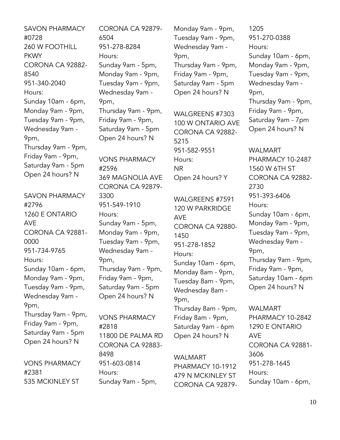SAVON PHARMACY #0728 260 W FOOTHILL **PKWY** CORONA CA 92882- 8540 951-340-2040 Hours: Sunday 10am - 6pm, Monday 9am - 9pm, Tuesday 9am - 9pm, Wednesday 9am - 9pm, Thursday 9am - 9pm, Friday 9am - 9pm, Saturday 9am - 5pm Open 24 hours? N

SAVON PHARMACY #2796 1260 E ONTARIO AVE CORONA CA 92881- 0000 951-734-9765 Hours: Sunday 10am - 6pm, Monday 9am - 9pm, Tuesday 9am - 9pm, Wednesday 9am - 9pm, Thursday 9am - 9pm, Friday 9am - 9pm, Saturday 9am - 5pm Open 24 hours? N

VONS PHARMACY #2381 535 MCKINLEY ST

CORONA CA 92879- 6504 951-278-8284 Hours: Sunday 9am - 5pm, Monday 9am - 9pm, Tuesday 9am - 9pm, Wednesday 9am - 9pm, Thursday 9am - 9pm, Friday 9am - 9pm, Saturday 9am - 5pm Open 24 hours? N VONS PHARMACY #2596 369 MAGNOLIA AVE CORONA CA 92879- 3300

951-549-1910 Hours: Sunday 9am - 5pm, Monday 9am - 9pm, Tuesday 9am - 9pm, Wednesday 9am - 9pm, Thursday 9am - 9pm, Friday 9am - 9pm, Saturday 9am - 5pm Open 24 hours? N

VONS PHARMACY #2818 11800 DE PALMA RD CORONA CA 92883- 8498 951-603-0814 Hours: Sunday 9am - 5pm,

Monday 9am - 9pm, Tuesday 9am - 9pm, Wednesday 9am - 9pm, Thursday 9am - 9pm, Friday 9am - 9pm, Saturday 9am - 5pm Open 24 hours? N

WALGREENS #7303 100 W ONTARIO AVE CORONA CA 92882- 5215 951-582-9551 Hours: NR Open 24 hours? Y

WALGREENS #7591 120 W PARKRIDGE AVE CORONA CA 92880- 1450 951-278-1852 Hours: Sunday 10am - 6pm, Monday 8am - 9pm, Tuesday 8am - 9pm, Wednesday 8am - 9pm, Thursday 8am - 9pm, Friday 8am - 9pm, Saturday 9am - 6pm

WALMART PHARMACY 10-1912 479 N MCKINLEY ST CORONA CA 92879-

Open 24 hours? N

1205 951-270-0388 Hours: Sunday 10am - 6pm, Monday 9am - 9pm, Tuesday 9am - 9pm, Wednesday 9am - 9pm, Thursday 9am - 9pm, Friday 9am - 9pm, Saturday 9am - 7pm Open 24 hours? N

WALMART PHARMACY 10-2487 1560 W 6TH ST CORONA CA 92882- 2730 951-393-6406 Hours: Sunday 10am - 6pm, Monday 9am - 9pm, Tuesday 9am - 9pm, Wednesday 9am - 9pm, Thursday 9am - 9pm, Friday 9am - 9pm, Saturday 10am - 6pm Open 24 hours? N

WALMART PHARMACY 10-2842 1290 E ONTARIO AVE CORONA CA 92881- 3606 951-278-1645 Hours: Sunday 10am - 6pm,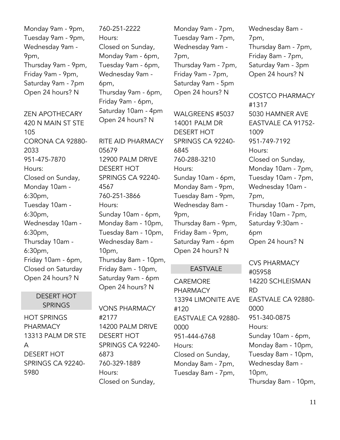Monday 9am - 9pm, Tuesday 9am - 9pm, Wednesday 9am - 9pm, Thursday 9am - 9pm, Friday 9am - 9pm, Saturday 9am - 7pm Open 24 hours? N

ZEN APOTHECARY 420 N MAIN ST STE 105 CORONA CA 92880- 2033 951-475-7870 Hours: Closed on Sunday, Monday 10am - 6:30pm, Tuesday 10am - 6:30pm, Wednesday 10am - 6:30pm, Thursday 10am - 6:30pm, Friday 10am - 6pm, Closed on Saturday Open 24 hours? N

#### DESERT HOT **SPRINGS**

HOT SPRINGS PHARMACY 13313 PALM DR STE A DESERT HOT SPRINGS CA 92240- 5980

760-251-2222 Hours: Closed on Sunday, Monday 9am - 6pm, Tuesday 9am - 6pm, Wednesday 9am - 6pm, Thursday 9am - 6pm, Friday 9am - 6pm, Saturday 10am - 4pm Open 24 hours? N

RITE AID PHARMACY 05679 12900 PALM DRIVE DESERT HOT SPRINGS CA 92240- 4567 760-251-3866 Hours: Sunday 10am - 6pm, Monday 8am - 10pm, Tuesday 8am - 10pm, Wednesday 8am - 10pm, Thursday 8am - 10pm, Friday 8am - 10pm, Saturday 9am - 6pm Open 24 hours? N

VONS PHARMACY #2177 14200 PALM DRIVE DESERT HOT SPRINGS CA 92240- 6873 760-329-1889 Hours: Closed on Sunday,

Monday 9am - 7pm, Tuesday 9am - 7pm, Wednesday 9am - 7pm, Thursday 9am - 7pm, Friday 9am - 7pm, Saturday 9am - 5pm Open 24 hours? N

WALGREENS #5037 14001 PALM DR DESERT HOT SPRINGS CA 92240- 6845 760-288-3210 Hours: Sunday 10am - 6pm, Monday 8am - 9pm, Tuesday 8am - 9pm, Wednesday 8am - 9pm, Thursday 8am - 9pm, Friday 8am - 9pm, Saturday 9am - 6pm Open 24 hours? N

#### EASTVALE

CAREMORE PHARMACY 13394 LIMONITE AVE #120 EASTVALE CA 92880- 0000 951-444-6768 Hours: Closed on Sunday, Monday 8am - 7pm, Tuesday 8am - 7pm,

Wednesday 8am - 7pm, Thursday 8am - 7pm, Friday 8am - 7pm, Saturday 9am - 3pm Open 24 hours? N

COSTCO PHARMACY #1317 5030 HAMNER AVE EASTVALE CA 91752- 1009 951-749-7192 Hours: Closed on Sunday, Monday 10am - 7pm, Tuesday 10am - 7pm, Wednesday 10am - 7pm, Thursday 10am - 7pm, Friday 10am - 7pm, Saturday 9:30am - 6pm Open 24 hours? N

CVS PHARMACY #05958 14220 SCHLEISMAN RD EASTVALE CA 92880- 0000 951-340-0875 Hours: Sunday 10am - 6pm, Monday 8am - 10pm, Tuesday 8am - 10pm, Wednesday 8am - 10pm, Thursday 8am - 10pm,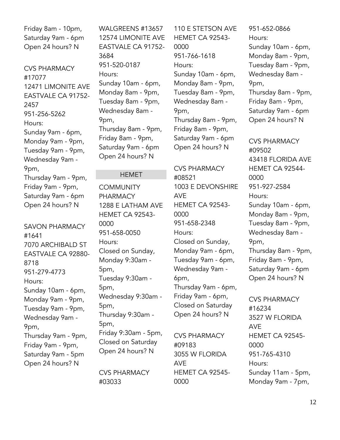Friday 8am - 10pm, Saturday 9am - 6pm Open 24 hours? N

CVS PHARMACY #17077 12471 LIMONITE AVE EASTVALE CA 91752- 2457 951-256-5262 Hours: Sunday 9am - 6pm, Monday 9am - 9pm, Tuesday 9am - 9pm, Wednesday 9am - 9pm, Thursday 9am - 9pm, Friday 9am - 9pm, Saturday 9am - 6pm Open 24 hours? N

SAVON PHARMACY #1641 7070 ARCHIBALD ST EASTVALE CA 92880- 8718 951-279-4773 Hours: Sunday 10am - 6pm, Monday 9am - 9pm, Tuesday 9am - 9pm, Wednesday 9am - 9pm, Thursday 9am - 9pm, Friday 9am - 9pm, Saturday 9am - 5pm Open 24 hours? N

WALGREENS #13657 12574 LIMONITE AVE EASTVALE CA 91752- 3684 951-520-0187 Hours: Sunday 10am - 6pm, Monday 8am - 9pm, Tuesday 8am - 9pm, Wednesday 8am - 9pm, Thursday 8am - 9pm, Friday 8am - 9pm, Saturday 9am - 6pm Open 24 hours? N

#### HEMET

**COMMUNITY** PHARMACY 1288 E LATHAM AVE HEMET CA 92543- 0000 951-658-0050 Hours: Closed on Sunday, Monday 9:30am - 5pm, Tuesday 9:30am - 5pm, Wednesday 9:30am - 5pm, Thursday 9:30am - 5pm, Friday 9:30am - 5pm, Closed on Saturday Open 24 hours? N

CVS PHARMACY #03033

110 E STETSON AVE HEMET CA 92543- 0000 951-766-1618 Hours: Sunday 10am - 6pm, Monday 8am - 9pm, Tuesday 8am - 9pm, Wednesday 8am - 9pm, Thursday 8am - 9pm, Friday 8am - 9pm, Saturday 9am - 6pm Open 24 hours? N

CVS PHARMACY #08521 1003 E DEVONSHIRE AVE HEMET CA 92543- 0000 951-658-2348 Hours: Closed on Sunday, Monday 9am - 6pm, Tuesday 9am - 6pm, Wednesday 9am - 6pm, Thursday 9am - 6pm, Friday 9am - 6pm, Closed on Saturday Open 24 hours? N

CVS PHARMACY #09183 3055 W FLORIDA AVE HEMET CA 92545- 0000

951-652-0866 Hours: Sunday 10am - 6pm, Monday 8am - 9pm, Tuesday 8am - 9pm, Wednesday 8am - 9pm, Thursday 8am - 9pm, Friday 8am - 9pm, Saturday 9am - 6pm Open 24 hours? N

CVS PHARMACY #09502 43418 FLORIDA AVE HEMET CA 92544- 0000 951-927-2584 Hours: Sunday 10am - 6pm, Monday 8am - 9pm, Tuesday 8am - 9pm, Wednesday 8am - 9pm, Thursday 8am - 9pm, Friday 8am - 9pm, Saturday 9am - 6pm Open 24 hours? N

CVS PHARMACY #16234 3527 W FLORIDA AVE HEMET CA 92545- 0000 951-765-4310 Hours: Sunday 11am - 5pm, Monday 9am - 7pm,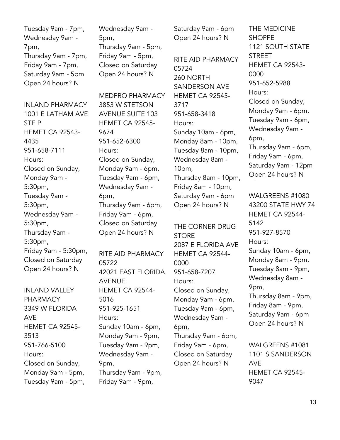Tuesday 9am - 7pm, Wednesday 9am - 7pm, Thursday 9am - 7pm, Friday 9am - 7pm, Saturday 9am - 5pm Open 24 hours? N

INLAND PHARMACY 1001 E LATHAM AVE STE P HEMET CA 92543- 4435 951-658-7111 Hours: Closed on Sunday, Monday 9am - 5:30pm, Tuesday 9am - 5:30pm, Wednesday 9am - 5:30pm, Thursday 9am - 5:30pm, Friday 9am - 5:30pm, Closed on Saturday Open 24 hours? N

INLAND VALLEY PHARMACY 3349 W FLORIDA AVE HEMET CA 92545- 3513 951-766-5100 Hours: Closed on Sunday, Monday 9am - 5pm, Tuesday 9am - 5pm, Wednesday 9am - 5pm, Thursday 9am - 5pm, Friday 9am - 5pm, Closed on Saturday Open 24 hours? N

MEDPRO PHARMACY 3853 W STETSON AVENUE SUITE 103 HEMET CA 92545- 9674 951-652-6300 Hours: Closed on Sunday, Monday 9am - 6pm, Tuesday 9am - 6pm, Wednesday 9am - 6pm, Thursday 9am - 6pm, Friday 9am - 6pm, Closed on Saturday Open 24 hours? N

RITE AID PHARMACY 05722 42021 EAST FLORIDA AVENUE HEMET CA 92544- 5016 951-925-1651 Hours: Sunday 10am - 6pm, Monday 9am - 9pm, Tuesday 9am - 9pm, Wednesday 9am - 9pm, Thursday 9am - 9pm, Friday 9am - 9pm,

Saturday 9am - 6pm Open 24 hours? N

RITE AID PHARMACY 05724 260 NORTH SANDERSON AVE HEMET CA 92545- 3717 951-658-3418 Hours: Sunday 10am - 6pm, Monday 8am - 10pm, Tuesday 8am - 10pm, Wednesday 8am - 10pm, Thursday 8am - 10pm, Friday 8am - 10pm, Saturday 9am - 6pm Open 24 hours? N

THE CORNER DRUG **STORE** 2087 E FLORIDA AVE HEMET CA 92544- 0000 951-658-7207 Hours: Closed on Sunday, Monday 9am - 6pm, Tuesday 9am - 6pm, Wednesday 9am - 6pm, Thursday 9am - 6pm, Friday 9am - 6pm, Closed on Saturday Open 24 hours? N

THE MEDICINE **SHOPPE** 1121 SOUTH STATE **STREET** HEMET CA 92543- 0000 951-652-5988 Hours: Closed on Sunday, Monday 9am - 6pm, Tuesday 9am - 6pm, Wednesday 9am - 6pm, Thursday 9am - 6pm, Friday 9am - 6pm, Saturday 9am - 12pm Open 24 hours? N

WALGREENS #1080 43200 STATE HWY 74 HEMET CA 92544- 5142 951-927-8570 Hours: Sunday 10am - 6pm, Monday 8am - 9pm, Tuesday 8am - 9pm, Wednesday 8am - 9pm, Thursday 8am - 9pm, Friday 8am - 9pm, Saturday 9am - 6pm Open 24 hours? N

WALGREENS #1081 1101 S SANDERSON AVE HEMET CA 92545- 9047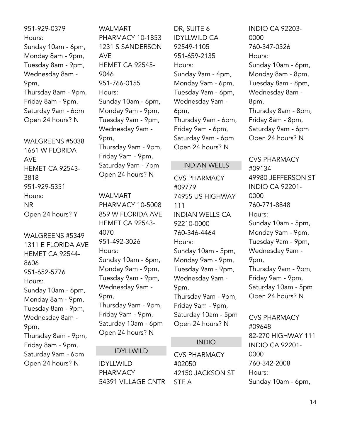951-929-0379 Hours: Sunday 10am - 6pm, Monday 8am - 9pm, Tuesday 8am - 9pm, Wednesday 8am - 9pm, Thursday 8am - 9pm, Friday 8am - 9pm, Saturday 9am - 6pm Open 24 hours? N

WALGREENS #5038 1661 W FLORIDA AVE HEMET CA 92543- 3818 951-929-5351 Hours: NR Open 24 hours? Y

WALGREENS #5349 1311 E FLORIDA AVE HEMET CA 92544- 8606 951-652-5776 Hours: Sunday 10am - 6pm, Monday 8am - 9pm, Tuesday 8am - 9pm, Wednesday 8am - 9pm, Thursday 8am - 9pm, Friday 8am - 9pm, Saturday 9am - 6pm Open 24 hours? N

WALMART PHARMACY 10-1853 1231 S SANDERSON AVE HEMET CA 92545- 9046 951-766-0155 Hours: Sunday 10am - 6pm, Monday 9am - 9pm, Tuesday 9am - 9pm, Wednesday 9am - 9pm, Thursday 9am - 9pm, Friday 9am - 9pm, Saturday 9am - 7pm Open 24 hours? N

WALMART PHARMACY 10-5008 859 W FLORIDA AVE HEMET CA 92543- 4070 951-492-3026 Hours: Sunday 10am - 6pm, Monday 9am - 9pm, Tuesday 9am - 9pm, Wednesday 9am - 9pm, Thursday 9am - 9pm, Friday 9am - 9pm, Saturday 10am - 6pm Open 24 hours? N

#### IDYLLWILD

IDYLLWILD PHARMACY 54391 VILLAGE CNTR DR, SUITE 6 IDYLLWILD CA 92549-1105 951-659-2135 Hours: Sunday 9am - 4pm, Monday 9am - 6pm, Tuesday 9am - 6pm, Wednesday 9am - 6pm, Thursday 9am - 6pm, Friday 9am - 6pm, Saturday 9am - 6pm Open 24 hours? N

#### INDIAN WELLS

CVS PHARMACY #09779 74955 US HIGHWAY 111 INDIAN WELLS CA 92210-0000 760-346-4464 Hours: Sunday 10am - 5pm, Monday 9am - 9pm, Tuesday 9am - 9pm, Wednesday 9am - 9pm, Thursday 9am - 9pm, Friday 9am - 9pm, Saturday 10am - 5pm Open 24 hours? N

#### INDIO

CVS PHARMACY #02050 42150 JACKSON ST STE A

INDIO CA 92203- 0000 760-347-0326 Hours: Sunday 10am - 6pm, Monday 8am - 8pm, Tuesday 8am - 8pm, Wednesday 8am - 8pm, Thursday 8am - 8pm, Friday 8am - 8pm, Saturday 9am - 6pm Open 24 hours? N

CVS PHARMACY #09134 49980 JEFFERSON ST INDIO CA 92201- 0000 760-771-8848 Hours: Sunday 10am - 5pm, Monday 9am - 9pm, Tuesday 9am - 9pm, Wednesday 9am - 9pm, Thursday 9am - 9pm, Friday 9am - 9pm, Saturday 10am - 5pm Open 24 hours? N

CVS PHARMACY #09648 82-270 HIGHWAY 111 INDIO CA 92201- 0000 760-342-2008 Hours: Sunday 10am - 6pm,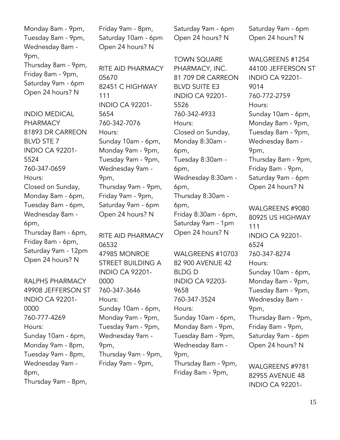Monday 8am - 9pm, Tuesday 8am - 9pm, Wednesday 8am - 9pm, Thursday 8am - 9pm, Friday 8am - 9pm, Saturday 9am - 6pm Open 24 hours? N

INDIO MEDICAL PHARMACY 81893 DR CARREON BLVD STE 7 INDIO CA 92201- 5524 760-347-0659 Hours: Closed on Sunday, Monday 8am - 6pm, Tuesday 8am - 6pm, Wednesday 8am - 6pm, Thursday 8am - 6pm, Friday 8am - 6pm, Saturday 9am - 12pm Open 24 hours? N

RALPHS PHARMACY 49908 JEFFERSON ST INDIO CA 92201- 0000 760-777-4269 Hours: Sunday 10am - 6pm, Monday 9am - 8pm, Tuesday 9am - 8pm, Wednesday 9am - 8pm, Thursday 9am - 8pm,

Friday 9am - 8pm, Saturday 10am - 6pm Open 24 hours? N

RITE AID PHARMACY 05670 82451 C HIGHWAY 111 INDIO CA 92201- 5654 760-342-7076 Hours: Sunday 10am - 6pm, Monday 9am - 9pm, Tuesday 9am - 9pm, Wednesday 9am - 9pm, Thursday 9am - 9pm, Friday 9am - 9pm, Saturday 9am - 6pm Open 24 hours? N

RITE AID PHARMACY 06532 47985 MONROE STREET BUILDING A INDIO CA 92201- 0000 760-347-3646 Hours: Sunday 10am - 6pm, Monday 9am - 9pm, Tuesday 9am - 9pm, Wednesday 9am - 9pm, Thursday 9am - 9pm, Friday 9am - 9pm,

Saturday 9am - 6pm Open 24 hours? N

TOWN SQUARE PHARMACY, INC. 81 709 DR CARREON BLVD SUITE E3 INDIO CA 92201- 5526 760-342-4933 Hours: Closed on Sunday, Monday 8:30am - 6pm, Tuesday 8:30am - 6pm, Wednesday 8:30am - 6pm, Thursday 8:30am - 6pm, Friday 8:30am - 6pm, Saturday 9am - 1pm Open 24 hours? N

WALGREENS #10703 82 900 AVENUE 42 BLDG D INDIO CA 92203- 9658 760-347-3524 Hours: Sunday 10am - 6pm, Monday 8am - 9pm, Tuesday 8am - 9pm, Wednesday 8am - 9pm, Thursday 8am - 9pm, Friday 8am - 9pm,

Saturday 9am - 6pm Open 24 hours? N

WALGREENS #1254 44100 JEFFERSON ST INDIO CA 92201- 9014 760-772-2759 Hours: Sunday 10am - 6pm, Monday 8am - 9pm, Tuesday 8am - 9pm, Wednesday 8am - 9pm, Thursday 8am - 9pm, Friday 8am - 9pm, Saturday 9am - 6pm Open 24 hours? N WALGREENS #9080 80925 US HIGHWAY 111 INDIO CA 92201- 6524 760-347-8274 Hours:

Sunday 10am - 6pm, Monday 8am - 9pm, Tuesday 8am - 9pm, Wednesday 8am - 9pm, Thursday 8am - 9pm, Friday 8am - 9pm, Saturday 9am - 6pm Open 24 hours? N

WALGREENS #9781 82955 AVENUE 48 INDIO CA 92201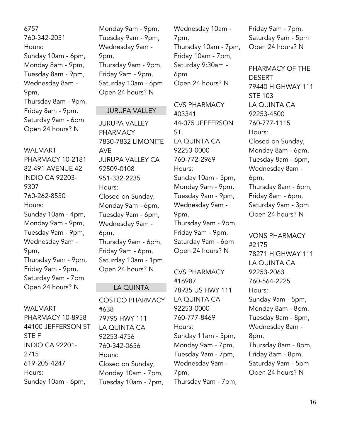6757 760-342-2031 Hours: Sunday 10am - 6pm, Monday 8am - 9pm, Tuesday 8am - 9pm, Wednesday 8am - 9pm, Thursday 8am - 9pm, Friday 8am - 9pm, Saturday 9am - 6pm Open 24 hours? N

WALMART PHARMACY 10-2181 82-491 AVENUE 42 INDIO CA 92203- 9307 760-262-8530 Hours: Sunday 10am - 4pm, Monday 9am - 9pm, Tuesday 9am - 9pm, Wednesday 9am - 9pm, Thursday 9am - 9pm, Friday 9am - 9pm, Saturday 9am - 7pm Open 24 hours? N

#### WALMART

PHARMACY 10-8958 44100 JEFFERSON ST STE F INDIO CA 92201- 2715 619-205-4247 Hours: Sunday 10am - 6pm,

Monday 9am - 9pm, Tuesday 9am - 9pm, Wednesday 9am - 9pm, Thursday 9am - 9pm, Friday 9am - 9pm, Saturday 10am - 6pm Open 24 hours? N

#### JURUPA VALLEY

JURUPA VALLEY PHARMACY 7830-7832 LIMONITE AVE JURUPA VALLEY CA 92509-0108 951-332-2235 Hours: Closed on Sunday, Monday 9am - 6pm, Tuesday 9am - 6pm, Wednesday 9am - 6pm, Thursday 9am - 6pm, Friday 9am - 6pm, Saturday 10am - 1pm Open 24 hours? N

#### LA QUINTA

COSTCO PHARMACY #638 79795 HWY 111 LA QUINTA CA 92253-4756 760-342-0656 Hours: Closed on Sunday, Monday 10am - 7pm, Tuesday 10am - 7pm,

Wednesday 10am - 7pm, Thursday 10am - 7pm, Friday 10am - 7pm, Saturday 9:30am - 6pm Open 24 hours? N

CVS PHARMACY #03341 44-075 JEFFERSON ST. LA QUINTA CA 92253-0000 760-772-2969 Hours: Sunday 10am - 5pm, Monday 9am - 9pm, Tuesday 9am - 9pm, Wednesday 9am - 9pm, Thursday 9am - 9pm, Friday 9am - 9pm, Saturday 9am - 6pm Open 24 hours? N

CVS PHARMACY #16987 78935 US HWY 111 LA QUINTA CA 92253-0000 760-777-8469 Hours: Sunday 11am - 5pm, Monday 9am - 7pm, Tuesday 9am - 7pm, Wednesday 9am - 7pm, Thursday 9am - 7pm, Friday 9am - 7pm, Saturday 9am - 5pm Open 24 hours? N

PHARMACY OF THE DESERT 79440 HIGHWAY 111 STE 103 LA QUINTA CA 92253-4500 760-777-1115 Hours: Closed on Sunday, Monday 8am - 6pm, Tuesday 8am - 6pm, Wednesday 8am - 6pm, Thursday 8am - 6pm, Friday 8am - 6pm, Saturday 9am - 3pm Open 24 hours? N

VONS PHARMACY #2175 78271 HIGHWAY 111 LA QUINTA CA 92253-2063 760-564-2225 Hours: Sunday 9am - 5pm, Monday 8am - 8pm, Tuesday 8am - 8pm, Wednesday 8am - 8pm, Thursday 8am - 8pm, Friday 8am - 8pm, Saturday 9am - 5pm Open 24 hours? N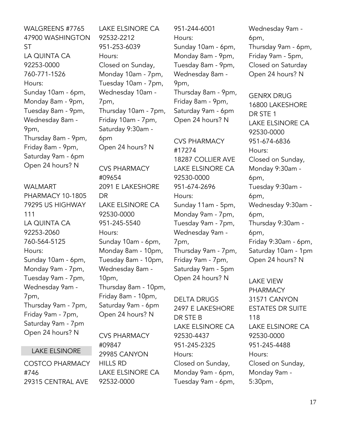WALGREENS #7765 47900 WASHINGTON ST LA QUINTA CA 92253-0000 760-771-1526 Hours: Sunday 10am - 6pm, Monday 8am - 9pm, Tuesday 8am - 9pm, Wednesday 8am - 9pm, Thursday 8am - 9pm, Friday 8am - 9pm, Saturday 9am - 6pm Open 24 hours? N

#### WALMART

PHARMACY 10-1805 79295 US HIGHWAY 111 LA QUINTA CA 92253-2060 760-564-5125 Hours: Sunday 10am - 6pm, Monday 9am - 7pm, Tuesday 9am - 7pm, Wednesday 9am - 7pm, Thursday 9am - 7pm, Friday 9am - 7pm, Saturday 9am - 7pm Open 24 hours? N

#### LAKE ELSINORE

COSTCO PHARMACY #746 29315 CENTRAL AVE

LAKE ELSINORE CA 92532-2212 951-253-6039 Hours: Closed on Sunday, Monday 10am - 7pm, Tuesday 10am - 7pm, Wednesday 10am - 7pm, Thursday 10am - 7pm, Friday 10am - 7pm, Saturday 9:30am - 6pm Open 24 hours? N

CVS PHARMACY #09654 2091 E LAKESHORE DR LAKE ELSINORE CA 92530-0000 951-245-5540 Hours: Sunday 10am - 6pm, Monday 8am - 10pm, Tuesday 8am - 10pm, Wednesday 8am - 10pm, Thursday 8am - 10pm, Friday 8am - 10pm, Saturday 9am - 6pm Open 24 hours? N

CVS PHARMACY #09847 29985 CANYON HILLS RD LAKE ELSINORE CA 92532-0000

951-244-6001 Hours: Sunday 10am - 6pm, Monday 8am - 9pm, Tuesday 8am - 9pm, Wednesday 8am - 9pm, Thursday 8am - 9pm, Friday 8am - 9pm, Saturday 9am - 6pm Open 24 hours? N

CVS PHARMACY #17274 18287 COLLIER AVE LAKE ELSINORE CA 92530-0000 951-674-2696 Hours: Sunday 11am - 5pm, Monday 9am - 7pm, Tuesday 9am - 7pm, Wednesday 9am - 7pm, Thursday 9am - 7pm, Friday 9am - 7pm, Saturday 9am - 5pm Open 24 hours? N

DELTA DRUGS 2497 E LAKESHORE DR STE B LAKE ELSINORE CA 92530-4437 951-245-2325 Hours: Closed on Sunday, Monday 9am - 6pm, Tuesday 9am - 6pm,

Wednesday 9am - 6pm, Thursday 9am - 6pm, Friday 9am - 5pm, Closed on Saturday Open 24 hours? N

GENRX DRUG 16800 LAKESHORE DR STE 1 LAKE ELSINORE CA 92530-0000 951-674-6836 Hours: Closed on Sunday, Monday 9:30am - 6pm, Tuesday 9:30am - 6pm, Wednesday 9:30am - 6pm, Thursday 9:30am - 6pm, Friday 9:30am - 6pm, Saturday 10am - 1pm Open 24 hours? N

LAKE VIEW PHARMACY 31571 CANYON ESTATES DR SUITE 118 LAKE ELSINORE CA 92530-0000 951-245-4488 Hours: Closed on Sunday, Monday 9am - 5:30pm,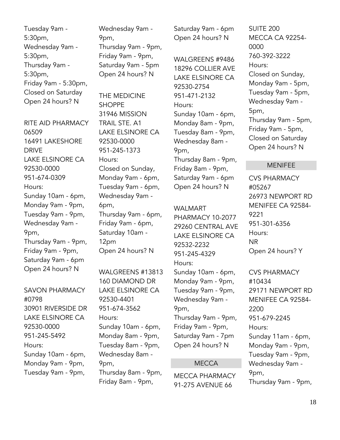Tuesday 9am - 5:30pm, Wednesday 9am - 5:30pm, Thursday 9am - 5:30pm, Friday 9am - 5:30pm, Closed on Saturday Open 24 hours? N

RITE AID PHARMACY 06509 16491 LAKESHORE DRIVE LAKE ELSINORE CA 92530-0000 951-674-0309 Hours: Sunday 10am - 6pm, Monday 9am - 9pm, Tuesday 9am - 9pm, Wednesday 9am - 9pm, Thursday 9am - 9pm, Friday 9am - 9pm, Saturday 9am - 6pm Open 24 hours? N

SAVON PHARMACY #0798 30901 RIVERSIDE DR LAKE ELSINORE CA 92530-0000 951-245-5492 Hours: Sunday 10am - 6pm, Monday 9am - 9pm, Tuesday 9am - 9pm,

Wednesday 9am - 9pm, Thursday 9am - 9pm, Friday 9am - 9pm, Saturday 9am - 5pm Open 24 hours? N

THE MEDICINE SHOPPE 31946 MISSION TRAIL STE. A1 LAKE ELSINORE CA 92530-0000 951-245-1373 Hours: Closed on Sunday, Monday 9am - 6pm, Tuesday 9am - 6pm, Wednesday 9am - 6pm, Thursday 9am - 6pm, Friday 9am - 6pm, Saturday 10am - 12pm Open 24 hours? N

WALGREENS #13813 160 DIAMOND DR LAKE ELSINORE CA 92530-4401 951-674-3562 Hours: Sunday 10am - 6pm, Monday 8am - 9pm, Tuesday 8am - 9pm, Wednesday 8am - 9pm, Thursday 8am - 9pm, Friday 8am - 9pm,

Saturday 9am - 6pm Open 24 hours? N

WALGREENS #9486 18296 COLLIER AVE LAKE ELSINORE CA 92530-2754 951-471-2132 Hours: Sunday 10am - 6pm, Monday 8am - 9pm, Tuesday 8am - 9pm, Wednesday 8am - 9pm, Thursday 8am - 9pm, Friday 8am - 9pm, Saturday 9am - 6pm Open 24 hours? N

#### WALMART

PHARMACY 10-2077 29260 CENTRAL AVE LAKE ELSINORE CA 92532-2232 951-245-4329 Hours: Sunday 10am - 6pm, Monday 9am - 9pm, Tuesday 9am - 9pm, Wednesday 9am - 9pm, Thursday 9am - 9pm, Friday 9am - 9pm, Saturday 9am - 7pm Open 24 hours? N

#### **MECCA**

MECCA PHARMACY 91-275 AVENUE 66

SUITE 200 MECCA CA 92254- 0000 760-392-3222 Hours: Closed on Sunday, Monday 9am - 5pm, Tuesday 9am - 5pm, Wednesday 9am - 5pm, Thursday 9am - 5pm, Friday 9am - 5pm, Closed on Saturday Open 24 hours? N

#### MENIFEE

CVS PHARMACY #05267 26973 NEWPORT RD MENIFEE CA 92584- 9221 951-301-6356 Hours: NR Open 24 hours? Y

CVS PHARMACY #10434 29171 NEWPORT RD MENIFEE CA 92584- 2200 951-679-2245 Hours: Sunday 11am - 6pm, Monday 9am - 9pm, Tuesday 9am - 9pm, Wednesday 9am - 9pm, Thursday 9am - 9pm,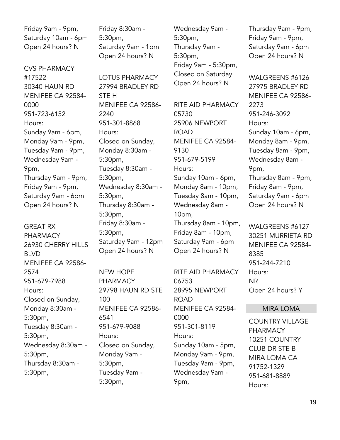Friday 9am - 9pm, Saturday 10am - 6pm Open 24 hours? N

CVS PHARMACY #17522 30340 HAUN RD MENIFEE CA 92584- 0000 951-723-6152 Hours: Sunday 9am - 6pm, Monday 9am - 9pm, Tuesday 9am - 9pm, Wednesday 9am - 9pm, Thursday 9am - 9pm, Friday 9am - 9pm, Saturday 9am - 6pm Open 24 hours? N

GREAT RX PHARMACY 26930 CHERRY HILLS BLVD MENIFEE CA 92586- 2574 951-679-7988 Hours: Closed on Sunday, Monday 8:30am - 5:30pm, Tuesday 8:30am - 5:30pm, Wednesday 8:30am - 5:30pm, Thursday 8:30am - 5:30pm,

Friday 8:30am - 5:30pm, Saturday 9am - 1pm Open 24 hours? N

LOTUS PHARMACY 27994 BRADLEY RD STE H MENIFEE CA 92586- 2240 951-301-8868 Hours: Closed on Sunday, Monday 8:30am - 5:30pm, Tuesday 8:30am - 5:30pm, Wednesday 8:30am - 5:30pm, Thursday 8:30am - 5:30pm, Friday 8:30am - 5:30pm, Saturday 9am - 12pm Open 24 hours? N

NEW HOPE PHARMACY 29798 HAUN RD STE 100 MENIFEE CA 92586- 6541 951-679-9088 Hours: Closed on Sunday, Monday 9am - 5:30pm, Tuesday 9am - 5:30pm,

Wednesday 9am - 5:30pm, Thursday 9am - 5:30pm, Friday 9am - 5:30pm, Closed on Saturday Open 24 hours? N

RITE AID PHARMACY 05730 25906 NEWPORT ROAD MENIFEE CA 92584- 9130 951-679-5199 Hours: Sunday 10am - 6pm, Monday 8am - 10pm, Tuesday 8am - 10pm, Wednesday 8am - 10pm, Thursday 8am - 10pm, Friday 8am - 10pm, Saturday 9am - 6pm Open 24 hours? N

RITE AID PHARMACY 06753 28995 NEWPORT ROAD MENIFEE CA 92584- 0000 951-301-8119 Hours: Sunday 10am - 5pm, Monday 9am - 9pm, Tuesday 9am - 9pm, Wednesday 9am - 9pm,

Thursday 9am - 9pm, Friday 9am - 9pm, Saturday 9am - 6pm Open 24 hours? N

WALGREENS #6126 27975 BRADLEY RD MENIFEE CA 92586- 2273 951-246-3092 Hours: Sunday 10am - 6pm, Monday 8am - 9pm, Tuesday 8am - 9pm, Wednesday 8am - 9pm, Thursday 8am - 9pm, Friday 8am - 9pm, Saturday 9am - 6pm Open 24 hours? N

WALGREENS #6127 30251 MURRIETA RD MENIFEE CA 92584- 8385 951-244-7210 Hours: NR Open 24 hours? Y

#### MIRA LOMA

COUNTRY VILLAGE PHARMACY 10251 COUNTRY CLUB DR STE B MIRA LOMA CA 91752-1329 951-681-8889 Hours: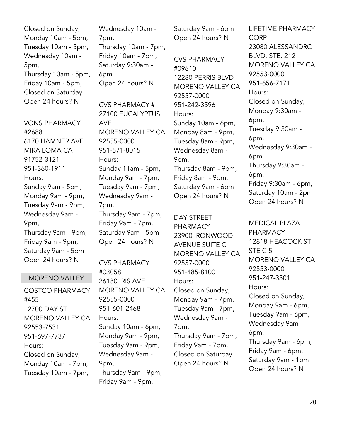Closed on Sunday, Monday 10am - 5pm, Tuesday 10am - 5pm, Wednesday 10am - 5pm, Thursday 10am - 5pm, Friday 10am - 5pm, Closed on Saturday Open 24 hours? N

VONS PHARMACY #2688 6170 HAMNER AVE MIRA LOMA CA 91752-3121 951-360-1911 Hours: Sunday 9am - 5pm, Monday 9am - 9pm, Tuesday 9am - 9pm, Wednesday 9am - 9pm, Thursday 9am - 9pm, Friday 9am - 9pm, Saturday 9am - 5pm Open 24 hours? N

#### MORENO VALLEY

COSTCO PHARMACY #455 12700 DAY ST MORENO VALLEY CA 92553-7531 951-697-7737 Hours: Closed on Sunday, Monday 10am - 7pm, Tuesday 10am - 7pm,

Wednesday 10am - 7pm, Thursday 10am - 7pm, Friday 10am - 7pm, Saturday 9:30am - 6pm Open 24 hours? N

CVS PHARMACY # 27100 EUCALYPTUS AVE MORENO VALLEY CA 92555-0000 951-571-8015 Hours: Sunday 11am - 5pm, Monday 9am - 7pm, Tuesday 9am - 7pm, Wednesday 9am - 7pm, Thursday 9am - 7pm, Friday 9am - 7pm, Saturday 9am - 5pm Open 24 hours? N

CVS PHARMACY #03058 26180 IRIS AVE MORENO VALLEY CA 92555-0000 951-601-2468 Hours: Sunday 10am - 6pm, Monday 9am - 9pm, Tuesday 9am - 9pm, Wednesday 9am - 9pm, Thursday 9am - 9pm, Friday 9am - 9pm,

Saturday 9am - 6pm Open 24 hours? N

CVS PHARMACY #09610 12280 PERRIS BLVD MORENO VALLEY CA 92557-0000 951-242-3596 Hours: Sunday 10am - 6pm, Monday 8am - 9pm, Tuesday 8am - 9pm, Wednesday 8am - 9pm, Thursday 8am - 9pm, Friday 8am - 9pm, Saturday 9am - 6pm Open 24 hours? N

DAY STREET PHARMACY 23900 IRONWOOD AVENUE SUITE C MORENO VALLEY CA 92557-0000 951-485-8100 Hours: Closed on Sunday, Monday 9am - 7pm, Tuesday 9am - 7pm, Wednesday 9am - 7pm, Thursday 9am - 7pm, Friday 9am - 7pm, Closed on Saturday Open 24 hours? N

LIFETIME PHARMACY **CORP** 23080 ALESSANDRO BLVD. STE. 212 MORENO VALLEY CA 92553-0000 951-656-7171 Hours: Closed on Sunday, Monday 9:30am - 6pm, Tuesday 9:30am - 6pm, Wednesday 9:30am - 6pm, Thursday 9:30am - 6pm, Friday 9:30am - 6pm, Saturday 10am - 2pm Open 24 hours? N

MEDICAL PLAZA PHARMACY 12818 HEACOCK ST STE C 5 MORENO VALLEY CA 92553-0000 951-247-3501 Hours: Closed on Sunday, Monday 9am - 6pm, Tuesday 9am - 6pm, Wednesday 9am - 6pm, Thursday 9am - 6pm, Friday 9am - 6pm, Saturday 9am - 1pm Open 24 hours? N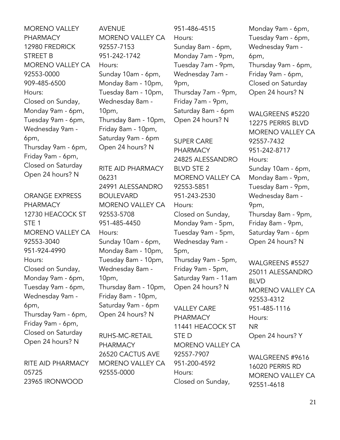MORENO VALLEY PHARMACY 12980 FREDRICK STREET B MORENO VALLEY CA 92553-0000 909-485-6500 Hours: Closed on Sunday, Monday 9am - 6pm, Tuesday 9am - 6pm, Wednesday 9am - 6pm, Thursday 9am - 6pm, Friday 9am - 6pm, Closed on Saturday Open 24 hours? N

ORANGE EXPRESS PHARMACY 12730 HEACOCK ST STE 1 MORENO VALLEY CA 92553-3040 951-924-4990 Hours: Closed on Sunday, Monday 9am - 6pm, Tuesday 9am - 6pm, Wednesday 9am - 6pm, Thursday 9am - 6pm, Friday 9am - 6pm, Closed on Saturday Open 24 hours? N

RITE AID PHARMACY 05725 23965 IRONWOOD

AVENUE MORENO VALLEY CA 92557-7153 951-242-1742 Hours: Sunday 10am - 6pm, Monday 8am - 10pm, Tuesday 8am - 10pm, Wednesday 8am - 10pm, Thursday 8am - 10pm, Friday 8am - 10pm, Saturday 9am - 6pm Open 24 hours? N RITE AID PHARMACY 06231 24991 ALESSANDRO BOULEVARD MORENO VALLEY CA 92553-5708 951-485-4450 Hours: Sunday 10am - 6pm, Monday 8am - 10pm, Tuesday 8am - 10pm, Wednesday 8am - 10pm, Thursday 8am - 10pm, Friday 8am - 10pm, Saturday 9am - 6pm Open 24 hours? N

RUHS-MC-RETAIL PHARMACY 26520 CACTUS AVE MORENO VALLEY CA 92555-0000

951-486-4515 Hours:

Sunday 8am - 6pm, Monday 7am - 9pm, Tuesday 7am - 9pm, Wednesday 7am - 9pm, Thursday 7am - 9pm, Friday 7am - 9pm, Saturday 8am - 6pm Open 24 hours? N

SUPER CARE PHARMACY 24825 ALESSANDRO BLVD STE 2 MORENO VALLEY CA 92553-5851 951-243-2530 Hours: Closed on Sunday, Monday 9am - 5pm, Tuesday 9am - 5pm, Wednesday 9am - 5pm, Thursday 9am - 5pm, Friday 9am - 5pm, Saturday 9am - 11am Open 24 hours? N

VALLEY CARE PHARMACY 11441 HEACOCK ST STE D MORENO VALLEY CA 92557-7907 951-200-4592 Hours: Closed on Sunday,

Monday 9am - 6pm, Tuesday 9am - 6pm, Wednesday 9am - 6pm, Thursday 9am - 6pm, Friday 9am - 6pm, Closed on Saturday Open 24 hours? N

WALGREENS #5220 12275 PERRIS BLVD MORENO VALLEY CA 92557-7432 951-242-8717 Hours: Sunday 10am - 6pm, Monday 8am - 9pm, Tuesday 8am - 9pm, Wednesday 8am - 9pm, Thursday 8am - 9pm, Friday 8am - 9pm, Saturday 9am - 6pm Open 24 hours? N

WALGREENS #5527 25011 ALESSANDRO BLVD MORENO VALLEY CA 92553-4312 951-485-1116 Hours: NR Open 24 hours? Y

WALGREENS #9616 16020 PERRIS RD MORENO VALLEY CA 92551-4618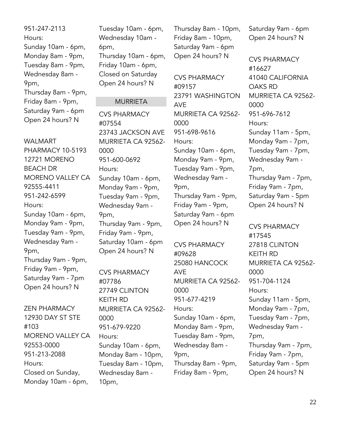951-247-2113 Hours: Sunday 10am - 6pm, Monday 8am - 9pm, Tuesday 8am - 9pm, Wednesday 8am - 9pm, Thursday 8am - 9pm, Friday 8am - 9pm, Saturday 9am - 6pm Open 24 hours? N

WALMART PHARMACY 10-5193 12721 MORENO BEACH DR MORENO VALLEY CA 92555-4411 951-242-6599 Hours: Sunday 10am - 6pm, Monday 9am - 9pm, Tuesday 9am - 9pm, Wednesday 9am - 9pm, Thursday 9am - 9pm, Friday 9am - 9pm, Saturday 9am - 7pm Open 24 hours? N

ZEN PHARMACY 12930 DAY ST STE #103 MORENO VALLEY CA 92553-0000 951-213-2088 Hours: Closed on Sunday, Monday 10am - 6pm,

Tuesday 10am - 6pm, Wednesday 10am - 6pm, Thursday 10am - 6pm, Friday 10am - 6pm, Closed on Saturday Open 24 hours? N

#### **MURRIETA**

CVS PHARMACY #07554 23743 JACKSON AVE MURRIETA CA 92562- 0000 951-600-0692 Hours: Sunday 10am - 6pm, Monday 9am - 9pm, Tuesday 9am - 9pm, Wednesday 9am - 9pm, Thursday 9am - 9pm, Friday 9am - 9pm, Saturday 10am - 6pm Open 24 hours? N

CVS PHARMACY #07786 27749 CLINTON KEITH RD MURRIETA CA 92562- 0000 951-679-9220 Hours: Sunday 10am - 6pm, Monday 8am - 10pm, Tuesday 8am - 10pm, Wednesday 8am - 10pm,

Thursday 8am - 10pm, Friday 8am - 10pm, Saturday 9am - 6pm Open 24 hours? N

CVS PHARMACY #09157 23791 WASHINGTON AVE MURRIETA CA 92562- 0000 951-698-9616 Hours: Sunday 10am - 6pm, Monday 9am - 9pm, Tuesday 9am - 9pm, Wednesday 9am - 9pm, Thursday 9am - 9pm, Friday 9am - 9pm, Saturday 9am - 6pm Open 24 hours? N

CVS PHARMACY #09628 25080 HANCOCK AVE MURRIETA CA 92562- 0000 951-677-4219 Hours: Sunday 10am - 6pm, Monday 8am - 9pm, Tuesday 8am - 9pm, Wednesday 8am - 9pm, Thursday 8am - 9pm, Friday 8am - 9pm,

Saturday 9am - 6pm Open 24 hours? N

CVS PHARMACY #16627 41040 CALIFORNIA OAKS RD MURRIETA CA 92562- 0000 951-696-7612 Hours: Sunday 11am - 5pm, Monday 9am - 7pm, Tuesday 9am - 7pm, Wednesday 9am - 7pm, Thursday 9am - 7pm, Friday 9am - 7pm, Saturday 9am - 5pm Open 24 hours? N

CVS PHARMACY #17545 27818 CLINTON KEITH RD MURRIETA CA 92562- 0000 951-704-1124 Hours: Sunday 11am - 5pm, Monday 9am - 7pm, Tuesday 9am - 7pm, Wednesday 9am - 7pm, Thursday 9am - 7pm, Friday 9am - 7pm, Saturday 9am - 5pm Open 24 hours? N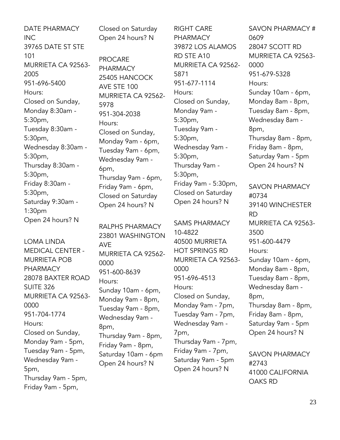DATE PHARMACY INC 39765 DATE ST STE 101 MURRIETA CA 92563- 2005 951-696-5400 Hours: Closed on Sunday, Monday 8:30am - 5:30pm, Tuesday 8:30am - 5:30pm, Wednesday 8:30am - 5:30pm, Thursday 8:30am - 5:30pm, Friday 8:30am - 5:30pm, Saturday 9:30am - 1:30pm Open 24 hours? N

LOMA LINDA MEDICAL CENTER - MURRIETA POB PHARMACY 28078 BAXTER ROAD SUITE 326 MURRIETA CA 92563- 0000 951-704-1774 Hours: Closed on Sunday, Monday 9am - 5pm, Tuesday 9am - 5pm, Wednesday 9am - 5pm, Thursday 9am - 5pm, Friday 9am - 5pm,

Closed on Saturday Open 24 hours? N

PROCARE PHARMACY 25405 HANCOCK AVE STE 100 MURRIETA CA 92562- 5978 951-304-2038 Hours: Closed on Sunday, Monday 9am - 6pm, Tuesday 9am - 6pm, Wednesday 9am - 6pm, Thursday 9am - 6pm, Friday 9am - 6pm, Closed on Saturday Open 24 hours? N

RALPHS PHARMACY 23801 WASHINGTON AVE MURRIETA CA 92562- 0000 951-600-8639 Hours: Sunday 10am - 6pm, Monday 9am - 8pm, Tuesday 9am - 8pm, Wednesday 9am - 8pm, Thursday 9am - 8pm, Friday 9am - 8pm, Saturday 10am - 6pm Open 24 hours? N

RIGHT CARE **PHARMACY** 39872 LOS ALAMOS RD STE A10 MURRIETA CA 92562- 5871 951-677-1114 Hours: Closed on Sunday, Monday 9am - 5:30pm, Tuesday 9am - 5:30pm, Wednesday 9am - 5:30pm, Thursday 9am - 5:30pm, Friday 9am - 5:30pm, Closed on Saturday Open 24 hours? N

SAMS PHARMACY 10-4822 40500 MURRIETA HOT SPRINGS RD MURRIETA CA 92563- 0000 951-696-4513 Hours: Closed on Sunday, Monday 9am - 7pm, Tuesday 9am - 7pm, Wednesday 9am - 7pm, Thursday 9am - 7pm, Friday 9am - 7pm, Saturday 9am - 5pm Open 24 hours? N

SAVON PHARMACY # 0609 28047 SCOTT RD MURRIETA CA 92563- 0000 951-679-5328 Hours: Sunday 10am - 6pm, Monday 8am - 8pm, Tuesday 8am - 8pm, Wednesday 8am - 8pm, Thursday 8am - 8pm, Friday 8am - 8pm, Saturday 9am - 5pm Open 24 hours? N SAVON PHARMACY #0734 39140 WINCHESTER RD MURRIETA CA 92563- 3500 951-600-4479 Hours: Sunday 10am - 6pm, Monday 8am - 8pm, Tuesday 8am - 8pm, Wednesday 8am - 8pm, Thursday 8am - 8pm, Friday 8am - 8pm, Saturday 9am - 5pm Open 24 hours? N

SAVON PHARMACY #2743 41000 CALIFORNIA OAKS RD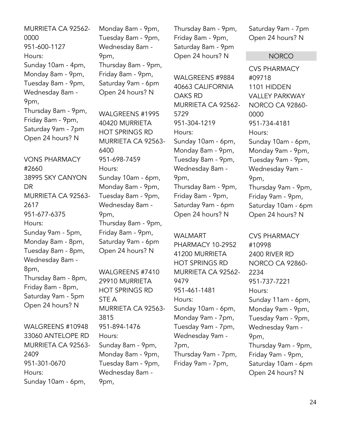MURRIETA CA 92562- 0000 951-600-1127 Hours: Sunday 10am - 4pm, Monday 8am - 9pm, Tuesday 8am - 9pm, Wednesday 8am - 9pm, Thursday 8am - 9pm, Friday 8am - 9pm, Saturday 9am - 7pm Open 24 hours? N VONS PHARMACY #2660 38995 SKY CANYON DR 2617

MURRIETA CA 92563- 951-677-6375 Hours: Sunday 9am - 5pm, Monday 8am - 8pm, Tuesday 8am - 8pm, Wednesday 8am - 8pm, Thursday 8am - 8pm, Friday 8am - 8pm, Saturday 9am - 5pm Open 24 hours? N

WALGREENS #10948 33060 ANTELOPE RD MURRIETA CA 92563- 2409 951-301-0670 Hours: Sunday 10am - 6pm,

Monday 8am - 9pm, Tuesday 8am - 9pm, Wednesday 8am - 9pm, Thursday 8am - 9pm, Friday 8am - 9pm, Saturday 9am - 6pm Open 24 hours? N

WALGREENS #1995 40420 MURRIETA HOT SPRINGS RD MURRIETA CA 92563- 6400 951-698-7459 Hours: Sunday 10am - 6pm, Monday 8am - 9pm, Tuesday 8am - 9pm, Wednesday 8am - 9pm, Thursday 8am - 9pm, Friday 8am - 9pm, Saturday 9am - 6pm Open 24 hours? N

WALGREENS #7410 29910 MURRIETA HOT SPRINGS RD STE A MURRIETA CA 92563- 3815 951-894-1476 Hours: Sunday 8am - 9pm, Monday 8am - 9pm, Tuesday 8am - 9pm, Wednesday 8am - 9pm,

Thursday 8am - 9pm, Friday 8am - 9pm, Saturday 8am - 9pm Open 24 hours? N

WALGREENS #9884 40663 CALIFORNIA OAKS RD MURRIETA CA 92562- 5729 951-304-1219 Hours: Sunday 10am - 6pm, Monday 8am - 9pm, Tuesday 8am - 9pm, Wednesday 8am - 9pm, Thursday 8am - 9pm, Friday 8am - 9pm, Saturday 9am - 6pm Open 24 hours? N

WALMART PHARMACY 10-2952 41200 MURRIETA HOT SPRINGS RD MURRIETA CA 92562- 9479 951-461-1481 Hours: Sunday 10am - 6pm, Monday 9am - 7pm, Tuesday 9am - 7pm, Wednesday 9am - 7pm, Thursday 9am - 7pm, Friday 9am - 7pm,

Saturday 9am - 7pm Open 24 hours? N

#### **NORCO**

CVS PHARMACY #09718 1101 HIDDEN VALLEY PARKWAY NORCO CA 92860- 0000 951-734-4181 Hours: Sunday 10am - 6pm, Monday 9am - 9pm, Tuesday 9am - 9pm, Wednesday 9am - 9pm, Thursday 9am - 9pm, Friday 9am - 9pm, Saturday 10am - 6pm Open 24 hours? N

CVS PHARMACY #10998 2400 RIVER RD NORCO CA 92860- 2234 951-737-7221 Hours: Sunday 11am - 6pm, Monday 9am - 9pm, Tuesday 9am - 9pm, Wednesday 9am - 9pm, Thursday 9am - 9pm, Friday 9am - 9pm, Saturday 10am - 6pm Open 24 hours? N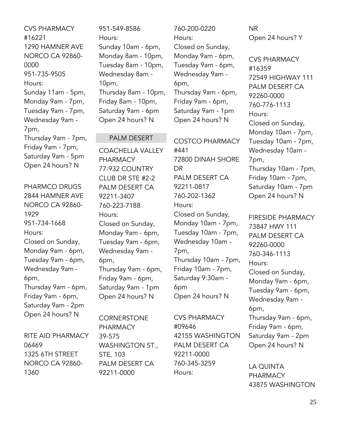CVS PHARMACY #16221 1290 HAMNER AVE NORCO CA 92860- 0000 951-735-9505 Hours: Sunday 11am - 5pm, Monday 9am - 7pm, Tuesday 9am - 7pm, Wednesday 9am - 7pm, Thursday 9am - 7pm, Friday 9am - 7pm, Saturday 9am - 5pm Open 24 hours? N

PHARMCO DRUGS 2844 HAMNER AVE NORCO CA 92860- 1929 951-734-1668 Hours: Closed on Sunday, Monday 9am - 6pm, Tuesday 9am - 6pm, Wednesday 9am - 6pm, Thursday 9am - 6pm, Friday 9am - 6pm, Saturday 9am - 2pm Open 24 hours? N

RITE AID PHARMACY 06469 1325 6TH STREET NORCO CA 92860- 1360

951-549-8586 Hours: Sunday 10am - 6pm, Monday 8am - 10pm, Tuesday 8am - 10pm, Wednesday 8am - 10pm, Thursday 8am - 10pm, Friday 8am - 10pm, Saturday 9am - 6pm Open 24 hours? N

#### PALM DESERT

COACHELLA VALLEY PHARMACY 77-932 COUNTRY CLUB DR STE #2-2 PALM DESERT CA 92211-3407 760-223-7188 Hours: Closed on Sunday, Monday 9am - 6pm, Tuesday 9am - 6pm, Wednesday 9am - 6pm, Thursday 9am - 6pm, Friday 9am - 6pm, Saturday 9am - 1pm Open 24 hours? N

**CORNERSTONE** PHARMACY 39-575 WASHINGTON ST., STE. 103 PALM DESERT CA 92211-0000

760-200-0220 Hours: Closed on Sunday, Monday 9am - 6pm, Tuesday 9am - 6pm, Wednesday 9am - 6pm, Thursday 9am - 6pm, Friday 9am - 6pm, Saturday 9am - 1pm Open 24 hours? N

COSTCO PHARMACY #441 72800 DINAH SHORE DR PALM DESERT CA 92211-0817 760-202-1362 Hours: Closed on Sunday, Monday 10am - 7pm, Tuesday 10am - 7pm, Wednesday 10am - 7pm, Thursday 10am - 7pm, Friday 10am - 7pm, Saturday 9:30am - 6pm Open 24 hours? N

CVS PHARMACY #09646 42155 WASHINGTON PALM DESERT CA 92211-0000 760-345-3259 Hours:

NR Open 24 hours? Y

CVS PHARMACY #16359 72549 HIGHWAY 111 PALM DESERT CA 92260-0000 760-776-1113 Hours: Closed on Sunday, Monday 10am - 7pm, Tuesday 10am - 7pm, Wednesday 10am - 7pm, Thursday 10am - 7pm, Friday 10am - 7pm, Saturday 10am - 7pm Open 24 hours? N

FIRESIDE PHARMACY 73847 HWY 111 PALM DESERT CA 92260-0000 760-346-1113 Hours: Closed on Sunday, Monday 9am - 6pm, Tuesday 9am - 6pm, Wednesday 9am - 6pm, Thursday 9am - 6pm, Friday 9am - 6pm, Saturday 9am - 2pm Open 24 hours? N

LA QUINTA PHARMACY 43875 WASHINGTON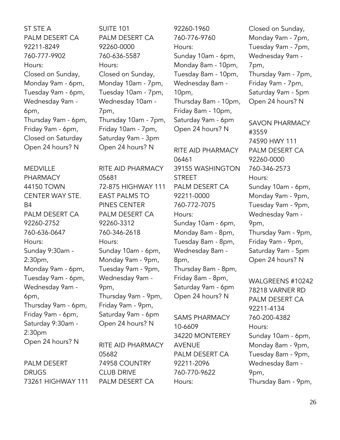ST STE A PALM DESERT CA 92211-8249 760-777-9902 Hours: Closed on Sunday, Monday 9am - 6pm, Tuesday 9am - 6pm, Wednesday 9am - 6pm, Thursday 9am - 6pm, Friday 9am - 6pm, Closed on Saturday Open 24 hours? N

MEDVILLE PHARMACY 44150 TOWN CENTER WAY STE. B4 PALM DESERT CA 92260-2752 760-636-0647 Hours: Sunday 9:30am - 2:30pm, Monday 9am - 6pm, Tuesday 9am - 6pm, Wednesday 9am - 6pm, Thursday 9am - 6pm, Friday 9am - 6pm, Saturday 9:30am - 2:30pm Open 24 hours? N

PALM DESERT DRUGS 73261 HIGHWAY 111 SUITE 101 PALM DESERT CA 92260-0000 760-636-5587 Hours: Closed on Sunday, Monday 10am - 7pm, Tuesday 10am - 7pm, Wednesday 10am - 7pm, Thursday 10am - 7pm, Friday 10am - 7pm, Saturday 9am - 3pm Open 24 hours? N

RITE AID PHARMACY 05681 72-875 HIGHWAY 111 EAST PALMS TO PINES CENTER PALM DESERT CA 92260-3312 760-346-2618 Hours: Sunday 10am - 6pm, Monday 9am - 9pm, Tuesday 9am - 9pm, Wednesday 9am - 9pm, Thursday 9am - 9pm, Friday 9am - 9pm, Saturday 9am - 6pm Open 24 hours? N

RITE AID PHARMACY 05682 74958 COUNTRY CLUB DRIVE PALM DESERT CA

92260-1960 760-776-9760 Hours: Sunday 10am - 6pm, Monday 8am - 10pm, Tuesday 8am - 10pm, Wednesday 8am - 10pm, Thursday 8am - 10pm, Friday 8am - 10pm, Saturday 9am - 6pm Open 24 hours? N

RITE AID PHARMACY 06461 39155 WASHINGTON STREET PALM DESERT CA 92211-0000 760-772-7075 Hours: Sunday 10am - 6pm, Monday 8am - 8pm, Tuesday 8am - 8pm, Wednesday 8am - 8pm, Thursday 8am - 8pm, Friday 8am - 8pm, Saturday 9am - 6pm Open 24 hours? N

SAMS PHARMACY 10-6609 34220 MONTEREY AVENUE PALM DESERT CA 92211-2096 760-770-9622 Hours:

Closed on Sunday, Monday 9am - 7pm, Tuesday 9am - 7pm, Wednesday 9am - 7pm, Thursday 9am - 7pm, Friday 9am - 7pm, Saturday 9am - 5pm Open 24 hours? N

SAVON PHARMACY #3559 74590 HWY 111 PALM DESERT CA 92260-0000 760-346-2573 Hours: Sunday 10am - 6pm, Monday 9am - 9pm, Tuesday 9am - 9pm, Wednesday 9am - 9pm, Thursday 9am - 9pm, Friday 9am - 9pm, Saturday 9am - 5pm Open 24 hours? N

WALGREENS #10242 78218 VARNER RD PALM DESERT CA 92211-4134 760-200-4382 Hours: Sunday 10am - 6pm, Monday 8am - 9pm, Tuesday 8am - 9pm, Wednesday 8am - 9pm, Thursday 8am - 9pm,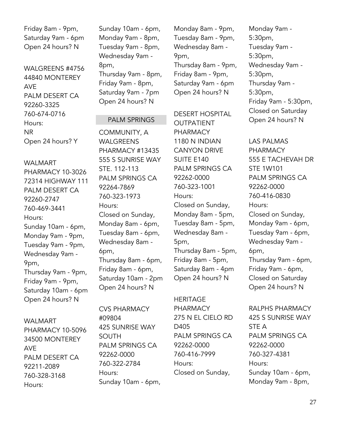Friday 8am - 9pm, Saturday 9am - 6pm Open 24 hours? N

WALGREENS #4756 44840 MONTEREY AVE PALM DESERT CA 92260-3325 760-674-0716 Hours: NR Open 24 hours? Y

PHARMACY 10-3026 72314 HIGHWAY 111 PALM DESERT CA

Sunday 10am - 6pm, Monday 9am - 9pm, Tuesday 9am - 9pm, Wednesday 9am -

Thursday 9am - 9pm, Friday 9am - 9pm, Saturday 10am - 6pm Open 24 hours? N

WALMART

92260-2747 760-469-3441

Hours:

9pm,

Sunday 10am - 6pm, Monday 9am - 8pm, Tuesday 9am - 8pm, Wednesday 9am - 8pm, Thursday 9am - 8pm, Friday 9am - 8pm, Saturday 9am - 7pm Open 24 hours? N

#### PALM SPRINGS

COMMUNITY, A WALGREENS PHARMACY #13435 555 S SUNRISE WAY STE. 112-113 PALM SPRINGS CA 92264-7869 760-323-1973 Hours: Closed on Sunday, Monday 8am - 6pm, Tuesday 8am - 6pm, Wednesday 8am - 6pm, Thursday 8am - 6pm, Friday 8am - 6pm, Saturday 10am - 2pm Open 24 hours? N

WALMART PHARMACY 10-5096 34500 MONTEREY AVE PALM DESERT CA 92211-2089 760-328-3168 Hours:

CVS PHARMACY #09804 425 SUNRISE WAY SOUTH PALM SPRINGS CA 92262-0000 760-322-2784 Hours: Sunday 10am - 6pm,

Monday 8am - 9pm, Tuesday 8am - 9pm, Wednesday 8am - 9pm, Thursday 8am - 9pm, Friday 8am - 9pm, Saturday 9am - 6pm Open 24 hours? N

DESERT HOSPITAL

OUTPATIENT PHARMACY 1180 N INDIAN CANYON DRIVE SUITE E140 PALM SPRINGS CA 92262-0000 760-323-1001 Hours: Closed on Sunday, Monday 8am - 5pm, Tuesday 8am - 5pm, Wednesday 8am - 5pm, Thursday 8am - 5pm, Friday 8am - 5pm, Saturday 8am - 4pm Open 24 hours? N

HERITAGE PHARMACY 275 N EL CIELO RD D405 PALM SPRINGS CA 92262-0000 760-416-7999 Hours: Closed on Sunday,

Monday 9am - 5:30pm, Tuesday 9am - 5:30pm, Wednesday 9am - 5:30pm, Thursday 9am - 5:30pm, Friday 9am - 5:30pm, Closed on Saturday Open 24 hours? N

LAS PALMAS PHARMACY 555 E TACHEVAH DR STE 1W101 PALM SPRINGS CA 92262-0000 760-416-0830 Hours: Closed on Sunday, Monday 9am - 6pm, Tuesday 9am - 6pm, Wednesday 9am - 6pm, Thursday 9am - 6pm, Friday 9am - 6pm, Closed on Saturday Open 24 hours? N

RALPHS PHARMACY 425 S SUNRISE WAY STE A PALM SPRINGS CA 92262-0000 760-327-4381 Hours: Sunday 10am - 6pm, Monday 9am - 8pm,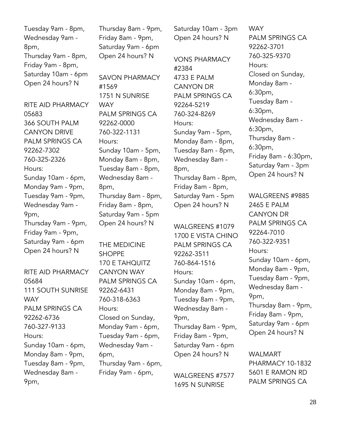Tuesday 9am - 8pm, Wednesday 9am - 8pm, Thursday 9am - 8pm, Friday 9am - 8pm, Saturday 10am - 6pm Open 24 hours? N

RITE AID PHARMACY 05683 366 SOUTH PALM CANYON DRIVE PALM SPRINGS CA 92262-7302 760-325-2326 Hours: Sunday 10am - 6pm, Monday 9am - 9pm, Tuesday 9am - 9pm, Wednesday 9am - 9pm, Thursday 9am - 9pm, Friday 9am - 9pm, Saturday 9am - 6pm Open 24 hours? N

RITE AID PHARMACY 05684 111 SOUTH SUNRISE **WAY** PALM SPRINGS CA 92262-6736 760-327-9133 Hours: Sunday 10am - 6pm, Monday 8am - 9pm, Tuesday 8am - 9pm, Wednesday 8am - 9pm,

Thursday 8am - 9pm, Friday 8am - 9pm, Saturday 9am - 6pm Open 24 hours? N

SAVON PHARMACY #1569 1751 N SUNRISE **WAY** PALM SPRINGS CA 92262-0000 760-322-1131 Hours: Sunday 10am - 5pm, Monday 8am - 8pm, Tuesday 8am - 8pm, Wednesday 8am - 8pm, Thursday 8am - 8pm, Friday 8am - 8pm, Saturday 9am - 5pm Open 24 hours? N

THE MEDICINE SHOPPE 170 E TAHQUITZ CANYON WAY PALM SPRINGS CA 92262-6431 760-318-6363 Hours: Closed on Sunday, Monday 9am - 6pm, Tuesday 9am - 6pm, Wednesday 9am - 6pm, Thursday 9am - 6pm, Friday 9am - 6pm,

Saturday 10am - 3pm Open 24 hours? N

VONS PHARMACY #2384 4733 E PALM CANYON DR PALM SPRINGS CA 92264-5219 760-324-8269 Hours: Sunday 9am - 5pm, Monday 8am - 8pm, Tuesday 8am - 8pm, Wednesday 8am - 8pm, Thursday 8am - 8pm, Friday 8am - 8pm, Saturday 9am - 5pm Open 24 hours? N

WALGREENS #1079 1700 E VISTA CHINO PALM SPRINGS CA 92262-3511 760-864-1516 Hours: Sunday 10am - 6pm, Monday 8am - 9pm, Tuesday 8am - 9pm, Wednesday 8am - 9pm, Thursday 8am - 9pm, Friday 8am - 9pm, Saturday 9am - 6pm Open 24 hours? N

WALGREENS #7577 1695 N SUNRISE

**WAY** PALM SPRINGS CA 92262-3701 760-325-9370 Hours: Closed on Sunday, Monday 8am - 6:30pm, Tuesday 8am - 6:30pm, Wednesday 8am - 6:30pm, Thursday 8am - 6:30pm, Friday 8am - 6:30pm, Saturday 9am - 3pm Open 24 hours? N

WALGREENS #9885 2465 E PALM CANYON DR PALM SPRINGS CA 92264-7010 760-322-9351 Hours: Sunday 10am - 6pm, Monday 8am - 9pm, Tuesday 8am - 9pm, Wednesday 8am - 9pm, Thursday 8am - 9pm, Friday 8am - 9pm, Saturday 9am - 6pm Open 24 hours? N

WALMART PHARMACY 10-1832 5601 E RAMON RD PALM SPRINGS CA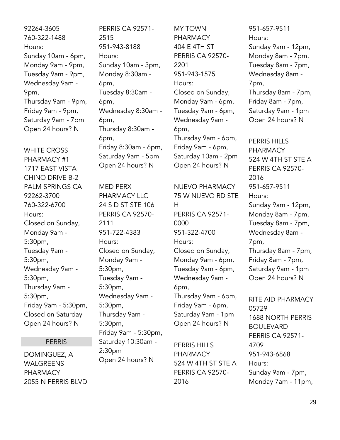92264-3605 760-322-1488 Hours: Sunday 10am - 6pm, Monday 9am - 9pm, Tuesday 9am - 9pm, Wednesday 9am - 9pm, Thursday 9am - 9pm, Friday 9am - 9pm, Saturday 9am - 7pm Open 24 hours? N

WHITE CROSS PHARMACY #1 1717 EAST VISTA CHINO DRIVE B-2 PALM SPRINGS CA 92262-3700 760-322-6700 Hours: Closed on Sunday, Monday 9am - 5:30pm, Tuesday 9am - 5:30pm, Wednesday 9am - 5:30pm, Thursday 9am - 5:30pm, Friday 9am - 5:30pm, Closed on Saturday Open 24 hours? N

#### PERRIS

DOMINGUEZ, A WALGREENS PHARMACY 2055 N PERRIS BLVD PERRIS CA 92571- 2515 951-943-8188 Hours: Sunday 10am - 3pm, Monday 8:30am - 6pm, Tuesday 8:30am - 6pm, Wednesday 8:30am - 6pm, Thursday 8:30am - 6pm, Friday 8:30am - 6pm, Saturday 9am - 5pm Open 24 hours? N

MED PERX PHARMACY LLC 24 S D ST STE 106 PERRIS CA 92570- 2111 951-722-4383 Hours: Closed on Sunday, Monday 9am - 5:30pm, Tuesday 9am - 5:30pm, Wednesday 9am - 5:30pm, Thursday 9am - 5:30pm, Friday 9am - 5:30pm, Saturday 10:30am - 2:30pm Open 24 hours? N

MY TOWN PHARMACY 404 E 4TH ST PERRIS CA 92570- 2201 951-943-1575 Hours: Closed on Sunday, Monday 9am - 6pm, Tuesday 9am - 6pm, Wednesday 9am - 6pm, Thursday 9am - 6pm, Friday 9am - 6pm, Saturday 10am - 2pm Open 24 hours? N

NUEVO PHARMACY 75 W NUEVO RD STE H PERRIS CA 92571- 0000 951-322-4700 Hours: Closed on Sunday, Monday 9am - 6pm, Tuesday 9am - 6pm, Wednesday 9am - 6pm, Thursday 9am - 6pm, Friday 9am - 6pm, Saturday 9am - 1pm Open 24 hours? N

PERRIS HILLS PHARMACY 524 W 4TH ST STE A PERRIS CA 92570- 2016

951-657-9511 Hours: Sunday 9am - 12pm, Monday 8am - 7pm, Tuesday 8am - 7pm, Wednesday 8am - 7pm, Thursday 8am - 7pm, Friday 8am - 7pm, Saturday 9am - 1pm Open 24 hours? N

PERRIS HILLS PHARMACY 524 W 4TH ST STE A PERRIS CA 92570- 2016 951-657-9511 Hours: Sunday 9am - 12pm, Monday 8am - 7pm, Tuesday 8am - 7pm, Wednesday 8am - 7pm, Thursday 8am - 7pm, Friday 8am - 7pm, Saturday 9am - 1pm Open 24 hours? N

RITE AID PHARMACY 05729 1688 NORTH PERRIS BOULEVARD PERRIS CA 92571- 4709 951-943-6868 Hours: Sunday 9am - 7pm, Monday 7am - 11pm,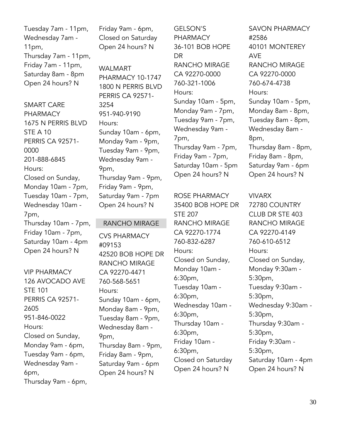Tuesday 7am - 11pm, Wednesday 7am - 11pm, Thursday 7am - 11pm, Friday 7am - 11pm, Saturday 8am - 8pm Open 24 hours? N

SMART CARE PHARMACY 1675 N PERRIS BLVD STE A 10 PERRIS CA 92571- 0000 201-888-6845 Hours: Closed on Sunday, Monday 10am - 7pm, Tuesday 10am - 7pm, Wednesday 10am - 7pm, Thursday 10am - 7pm, Friday 10am - 7pm, Saturday 10am - 4pm Open 24 hours? N

VIP PHARMACY 126 AVOCADO AVE STE 101 PERRIS CA 92571- 2605 951-846-0022 Hours: Closed on Sunday, Monday 9am - 6pm, Tuesday 9am - 6pm, Wednesday 9am - 6pm, Thursday 9am - 6pm, Friday 9am - 6pm, Closed on Saturday Open 24 hours? N

WALMART PHARMACY 10-1747 1800 N PERRIS BLVD PERRIS CA 92571- 3254 951-940-9190 Hours: Sunday 10am - 6pm, Monday 9am - 9pm, Tuesday 9am - 9pm, Wednesday 9am - 9pm, Thursday 9am - 9pm, Friday 9am - 9pm, Saturday 9am - 7pm Open 24 hours? N

#### RANCHO MIRAGE

CVS PHARMACY #09153 42520 BOB HOPE DR RANCHO MIRAGE CA 92270-4471 760-568-5651 Hours: Sunday 10am - 6pm, Monday 8am - 9pm, Tuesday 8am - 9pm, Wednesday 8am - 9pm, Thursday 8am - 9pm, Friday 8am - 9pm, Saturday 9am - 6pm Open 24 hours? N

GELSON'S **PHARMACY** 36-101 BOB HOPE DR RANCHO MIRAGE CA 92270-0000 760-321-1006 Hours: Sunday 10am - 5pm, Monday 9am - 7pm, Tuesday 9am - 7pm, Wednesday 9am - 7pm, Thursday 9am - 7pm, Friday 9am - 7pm, Saturday 10am - 5pm Open 24 hours? N

#### ROSE PHARMACY

35400 BOB HOPE DR STE 207 RANCHO MIRAGE CA 92270-1774 760-832-6287 Hours: Closed on Sunday, Monday 10am - 6:30pm, Tuesday 10am - 6:30pm, Wednesday 10am - 6:30pm, Thursday 10am - 6:30pm, Friday 10am - 6:30pm, Closed on Saturday Open 24 hours? N

SAVON PHARMACY #2586 40101 MONTEREY AVE RANCHO MIRAGE CA 92270-0000 760-674-4738 Hours: Sunday 10am - 5pm, Monday 8am - 8pm, Tuesday 8am - 8pm, Wednesday 8am - 8pm, Thursday 8am - 8pm, Friday 8am - 8pm, Saturday 9am - 6pm Open 24 hours? N

#### VIVARX

72780 COUNTRY CLUB DR STE 403 RANCHO MIRAGE CA 92270-4149 760-610-6512 Hours: Closed on Sunday, Monday 9:30am - 5:30pm, Tuesday 9:30am - 5:30pm, Wednesday 9:30am - 5:30pm, Thursday 9:30am - 5:30pm, Friday 9:30am - 5:30pm, Saturday 10am - 4pm Open 24 hours? N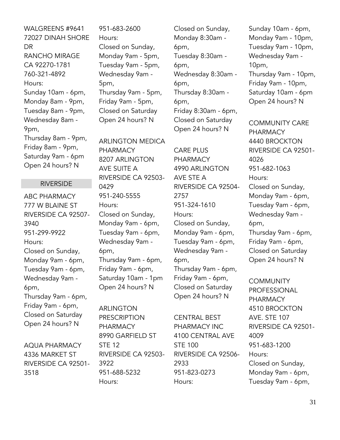WALGREENS #9641 72027 DINAH SHORE **DR** RANCHO MIRAGE CA 92270-1781 760-321-4892 Hours: Sunday 10am - 6pm, Monday 8am - 9pm, Tuesday 8am - 9pm, Wednesday 8am - 9pm, Thursday 8am - 9pm, Friday 8am - 9pm, Saturday 9am - 6pm Open 24 hours? N

#### RIVERSIDE

ABC PHARMACY 777 W BLAINE ST RIVERSIDE CA 92507- 3940 951-299-9922 Hours: Closed on Sunday, Monday 9am - 6pm, Tuesday 9am - 6pm, Wednesday 9am - 6pm, Thursday 9am - 6pm, Friday 9am - 6pm, Closed on Saturday Open 24 hours? N

AQUA PHARMACY 4336 MARKET ST RIVERSIDE CA 92501- 3518

951-683-2600 Hours: Closed on Sunday, Monday 9am - 5pm, Tuesday 9am - 5pm, Wednesday 9am - 5pm, Thursday 9am - 5pm, Friday 9am - 5pm, Closed on Saturday Open 24 hours? N

ARLINGTON MEDICA PHARMACY 8207 ARLINGTON AVE SUITE A RIVERSIDE CA 92503- 0429 951-240-5555 Hours: Closed on Sunday, Monday 9am - 6pm, Tuesday 9am - 6pm, Wednesday 9am - 6pm, Thursday 9am - 6pm, Friday 9am - 6pm, Saturday 10am - 1pm Open 24 hours? N

ARLINGTON PRESCRIPTION PHARMACY 8990 GARFIELD ST STE 12 RIVERSIDE CA 92503- 3922 951-688-5232 Hours:

Closed on Sunday, Monday 8:30am - 6pm, Tuesday 8:30am - 6pm, Wednesday 8:30am - 6pm, Thursday 8:30am - 6pm, Friday 8:30am - 6pm, Closed on Saturday Open 24 hours? N

CARE PLUS PHARMACY 4990 ARLINGTON AVE STE A RIVERSIDE CA 92504- 2757 951-324-1610 Hours: Closed on Sunday, Monday 9am - 6pm, Tuesday 9am - 6pm, Wednesday 9am - 6pm, Thursday 9am - 6pm, Friday 9am - 6pm, Closed on Saturday Open 24 hours? N

CENTRAL BEST PHARMACY INC 4100 CENTRAL AVE STE 100 RIVERSIDE CA 92506- 2933 951-823-0273 Hours:

Sunday 10am - 6pm, Monday 9am - 10pm, Tuesday 9am - 10pm, Wednesday 9am - 10pm, Thursday 9am - 10pm, Friday 9am - 10pm, Saturday 10am - 6pm Open 24 hours? N

COMMUNITY CARE PHARMACY 4440 BROCKTON RIVERSIDE CA 92501- 4026 951-682-1063 Hours: Closed on Sunday, Monday 9am - 6pm, Tuesday 9am - 6pm, Wednesday 9am - 6pm, Thursday 9am - 6pm, Friday 9am - 6pm, Closed on Saturday Open 24 hours? N

**COMMUNITY** PROFESSIONAL PHARMACY 4510 BROCKTON AVE. STE 107 RIVERSIDE CA 92501- 4009 951-683-1200 Hours: Closed on Sunday, Monday 9am - 6pm, Tuesday 9am - 6pm,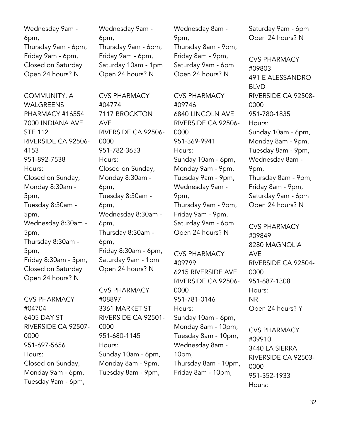Wednesday 9am - 6pm, Thursday 9am - 6pm, Friday 9am - 6pm, Closed on Saturday Open 24 hours? N

COMMUNITY, A WALGREENS PHARMACY #16554 7000 INDIANA AVE STE 112 RIVERSIDE CA 92506- 4153 951-892-7538 Hours: Closed on Sunday, Monday 8:30am - 5pm, Tuesday 8:30am - 5pm, Wednesday 8:30am - 5pm, Thursday 8:30am - 5pm, Friday 8:30am - 5pm, Closed on Saturday Open 24 hours? N

CVS PHARMACY #04704 6405 DAY ST RIVERSIDE CA 92507- 0000 951-697-5656 Hours: Closed on Sunday, Monday 9am - 6pm, Tuesday 9am - 6pm,

Wednesday 9am - 6pm, Thursday 9am - 6pm, Friday 9am - 6pm, Saturday 10am - 1pm Open 24 hours? N

CVS PHARMACY

7117 BROCKTON

951-782-3653

Closed on Sunday, Monday 8:30am -

Tuesday 8:30am -

Wednesday 8:30am -

Friday 8:30am - 6pm, Saturday 9am - 1pm Open 24 hours? N

Thursday 8:30am -

CVS PHARMACY

3361 MARKET ST

951-680-1145

RIVERSIDE CA 92501-

Sunday 10am - 6pm, Monday 8am - 9pm, Tuesday 8am - 9pm,

RIVERSIDE CA 92506-

#04774

AVE

0000

Hours:

6pm,

6pm,

6pm,

6pm,

#08897

0000

Hours:

Thursday 8am - 9pm, Friday 8am - 9pm, Saturday 9am - 6pm Open 24 hours? N

9pm,

Wednesday 8am -

CVS PHARMACY #09746 6840 LINCOLN AVE RIVERSIDE CA 92506- 0000 951-369-9941 Hours: Sunday 10am - 6pm, Monday 9am - 9pm, Tuesday 9am - 9pm, Wednesday 9am - 9pm, Thursday 9am - 9pm, Friday 9am - 9pm, Saturday 9am - 6pm Open 24 hours? N

CVS PHARMACY #09799 6215 RIVERSIDE AVE RIVERSIDE CA 92506- 0000 951-781-0146 Hours: Sunday 10am - 6pm, Monday 8am - 10pm, Tuesday 8am - 10pm, Wednesday 8am - 10pm, Thursday 8am - 10pm, Friday 8am - 10pm,

Saturday 9am - 6pm Open 24 hours? N

CVS PHARMACY #09803 491 E ALESSANDRO BLVD RIVERSIDE CA 92508- 0000 951-780-1835 Hours: Sunday 10am - 6pm, Monday 8am - 9pm, Tuesday 8am - 9pm, Wednesday 8am - 9pm, Thursday 8am - 9pm, Friday 8am - 9pm, Saturday 9am - 6pm Open 24 hours? N

CVS PHARMACY #09849 8280 MAGNOLIA AVE RIVERSIDE CA 92504- 0000 951-687-1308 Hours: NR Open 24 hours? Y

CVS PHARMACY #09910 3440 LA SIERRA RIVERSIDE CA 92503- 0000 951-352-1933 Hours: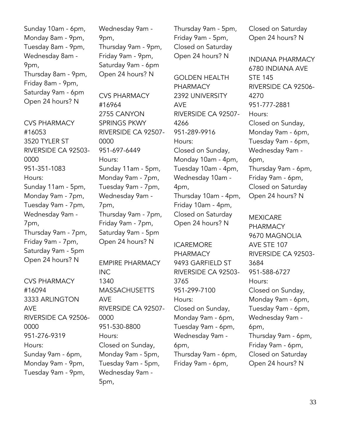Sunday 10am - 6pm, Monday 8am - 9pm, Tuesday 8am - 9pm, Wednesday 8am - 9pm, Thursday 8am - 9pm, Friday 8am - 9pm, Saturday 9am - 6pm Open 24 hours? N

CVS PHARMACY #16053 3520 TYLER ST RIVERSIDE CA 92503- 0000 951-351-1083 Hours: Sunday 11am - 5pm, Monday 9am - 7pm, Tuesday 9am - 7pm, Wednesday 9am - 7pm, Thursday 9am - 7pm, Friday 9am - 7pm, Saturday 9am - 5pm Open 24 hours? N

CVS PHARMACY #16094 3333 ARLINGTON AVE RIVERSIDE CA 92506- 0000 951-276-9319 Hours: Sunday 9am - 6pm, Monday 9am - 9pm, Tuesday 9am - 9pm,

Wednesday 9am - 9pm, Thursday 9am - 9pm, Friday 9am - 9pm, Saturday 9am - 6pm Open 24 hours? N

CVS PHARMACY #16964 2755 CANYON SPRINGS PKWY RIVERSIDE CA 92507- 0000 951-697-6449 Hours: Sunday 11am - 5pm, Monday 9am - 7pm, Tuesday 9am - 7pm, Wednesday 9am - 7pm, Thursday 9am - 7pm, Friday 9am - 7pm, Saturday 9am - 5pm Open 24 hours? N

EMPIRE PHARMACY INC 1340 **MASSACHUSETTS** AVE RIVERSIDE CA 92507- 0000 951-530-8800 Hours: Closed on Sunday, Monday 9am - 5pm, Tuesday 9am - 5pm, Wednesday 9am - 5pm,

Thursday 9am - 5pm, Friday 9am - 5pm, Closed on Saturday Open 24 hours? N

GOLDEN HEALTH PHARMACY 2392 UNIVERSITY AVE RIVERSIDE CA 92507- 4266 951-289-9916 Hours: Closed on Sunday, Monday 10am - 4pm, Tuesday 10am - 4pm, Wednesday 10am - 4pm, Thursday 10am - 4pm, Friday 10am - 4pm, Closed on Saturday Open 24 hours? N

ICAREMORE PHARMACY 9493 GARFIELD ST RIVERSIDE CA 92503- 3765 951-299-7100 Hours: Closed on Sunday, Monday 9am - 6pm, Tuesday 9am - 6pm, Wednesday 9am - 6pm, Thursday 9am - 6pm, Friday 9am - 6pm,

Closed on Saturday Open 24 hours? N

INDIANA PHARMACY 6780 INDIANA AVE STE 145 RIVERSIDE CA 92506- 4270 951-777-2881 Hours: Closed on Sunday, Monday 9am - 6pm, Tuesday 9am - 6pm, Wednesday 9am - 6pm, Thursday 9am - 6pm, Friday 9am - 6pm, Closed on Saturday Open 24 hours? N

MEXICARE **PHARMACY** 9670 MAGNOLIA AVE STE 107 RIVERSIDE CA 92503- 3684 951-588-6727 Hours: Closed on Sunday, Monday 9am - 6pm, Tuesday 9am - 6pm, Wednesday 9am - 6pm, Thursday 9am - 6pm, Friday 9am - 6pm, Closed on Saturday Open 24 hours? N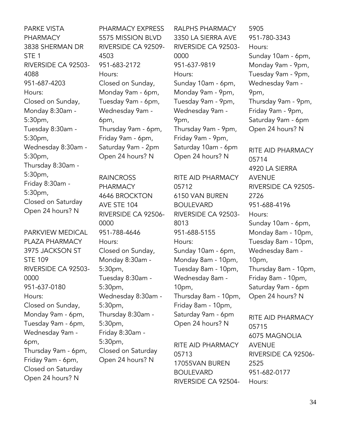PARKE VISTA PHARMACY 3838 SHERMAN DR STE 1 RIVERSIDE CA 92503- 4088 951-687-4203 Hours: Closed on Sunday, Monday 8:30am - 5:30pm, Tuesday 8:30am - 5:30pm, Wednesday 8:30am - 5:30pm, Thursday 8:30am - 5:30pm, Friday 8:30am - 5:30pm, Closed on Saturday Open 24 hours? N

PARKVIEW MEDICAL PLAZA PHARMACY 3975 JACKSON ST STE 109 RIVERSIDE CA 92503- 0000 951-637-0180 Hours: Closed on Sunday, Monday 9am - 6pm, Tuesday 9am - 6pm, Wednesday 9am - 6pm, Thursday 9am - 6pm, Friday 9am - 6pm, Closed on Saturday Open 24 hours? N

PHARMACY EXPRESS 5575 MISSION BLVD RIVERSIDE CA 92509- 4503 951-683-2172 Hours: Closed on Sunday, Monday 9am - 6pm, Tuesday 9am - 6pm, Wednesday 9am - 6pm, Thursday 9am - 6pm, Friday 9am - 6pm, Saturday 9am - 2pm Open 24 hours? N

RAINCROSS PHARMACY 4646 BROCKTON AVE STE 104 RIVERSIDE CA 92506- 0000 951-788-4646 Hours: Closed on Sunday, Monday 8:30am - 5:30pm, Tuesday 8:30am - 5:30pm, Wednesday 8:30am - 5:30pm, Thursday 8:30am - 5:30pm, Friday 8:30am - 5:30pm, Closed on Saturday Open 24 hours? N

RALPHS PHARMACY 3350 LA SIERRA AVE RIVERSIDE CA 92503- 0000 951-637-9819 Hours: Sunday 10am - 6pm, Monday 9am - 9pm, Tuesday 9am - 9pm, Wednesday 9am - 9pm, Thursday 9am - 9pm, Friday 9am - 9pm, Saturday 10am - 6pm Open 24 hours? N

RITE AID PHARMACY 05712 6150 VAN BUREN BOULEVARD RIVERSIDE CA 92503- 8013 951-688-5155 Hours: Sunday 10am - 6pm, Monday 8am - 10pm, Tuesday 8am - 10pm, Wednesday 8am - 10pm, Thursday 8am - 10pm, Friday 8am - 10pm, Saturday 9am - 6pm Open 24 hours? N

RITE AID PHARMACY 05713 17055VAN BUREN BOULEVARD RIVERSIDE CA 92504-

5905 951-780-3343 Hours: Sunday 10am - 6pm, Monday 9am - 9pm, Tuesday 9am - 9pm, Wednesday 9am - 9pm, Thursday 9am - 9pm, Friday 9am - 9pm, Saturday 9am - 6pm Open 24 hours? N

RITE AID PHARMACY 05714 4920 LA SIERRA AVENUE RIVERSIDE CA 92505- 2726 951-688-4196 Hours: Sunday 10am - 6pm, Monday 8am - 10pm, Tuesday 8am - 10pm, Wednesday 8am - 10pm, Thursday 8am - 10pm, Friday 8am - 10pm, Saturday 9am - 6pm Open 24 hours? N

RITE AID PHARMACY 05715 6075 MAGNOLIA AVENUE RIVERSIDE CA 92506- 2525 951-682-0177 Hours: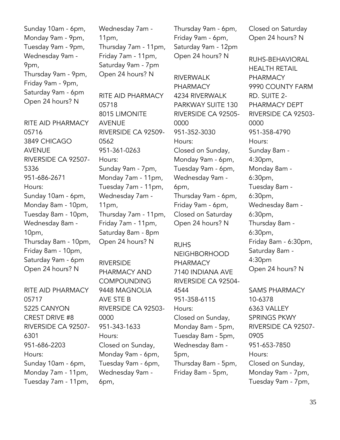Sunday 10am - 6pm, Monday 9am - 9pm, Tuesday 9am - 9pm, Wednesday 9am - 9pm, Thursday 9am - 9pm, Friday 9am - 9pm, Saturday 9am - 6pm Open 24 hours? N

RITE AID PHARMACY 05716 3849 CHICAGO AVENUE RIVERSIDE CA 92507- 5336 951-686-2671 Hours: Sunday 10am - 6pm, Monday 8am - 10pm, Tuesday 8am - 10pm, Wednesday 8am - 10pm, Thursday 8am - 10pm, Friday 8am - 10pm, Saturday 9am - 6pm Open 24 hours? N

RITE AID PHARMACY 05717 5225 CANYON CREST DRIVE #8 RIVERSIDE CA 92507- 6301 951-686-2203 Hours: Sunday 10am - 6pm, Monday 7am - 11pm, Tuesday 7am - 11pm,

Wednesday 7am - 11pm, Thursday 7am - 11pm, Friday 7am - 11pm, Saturday 9am - 7pm Open 24 hours? N

RITE AID PHARMACY 05718 8015 LIMONITE AVENUE RIVERSIDE CA 92509- 0562 951-361-0263 Hours: Sunday 9am - 7pm, Monday 7am - 11pm, Tuesday 7am - 11pm, Wednesday 7am - 11pm, Thursday 7am - 11pm, Friday 7am - 11pm, Saturday 8am - 8pm Open 24 hours? N

RIVERSIDE PHARMACY AND **COMPOUNDING** 9448 MAGNOLIA AVE STE B RIVERSIDE CA 92503- 0000 951-343-1633 Hours: Closed on Sunday, Monday 9am - 6pm, Tuesday 9am - 6pm, Wednesday 9am - 6pm,

Thursday 9am - 6pm, Friday 9am - 6pm, Saturday 9am - 12pm Open 24 hours? N

RIVERWALK PHARMACY 4234 RIVERWALK PARKWAY SUITE 130 RIVERSIDE CA 92505- 0000 951-352-3030 Hours: Closed on Sunday, Monday 9am - 6pm, Tuesday 9am - 6pm, Wednesday 9am - 6pm, Thursday 9am - 6pm, Friday 9am - 6pm, Closed on Saturday Open 24 hours? N

RUHS NEIGHBORHOOD PHARMACY 7140 INDIANA AVE RIVERSIDE CA 92504- 4544 951-358-6115 Hours: Closed on Sunday, Monday 8am - 5pm, Tuesday 8am - 5pm, Wednesday 8am - 5pm, Thursday 8am - 5pm, Friday 8am - 5pm,

Closed on Saturday Open 24 hours? N

RUHS-BEHAVIORAL HEALTH RETAIL **PHARMACY** 9990 COUNTY FARM RD. SUITE 2- PHARMACY DEPT RIVERSIDE CA 92503- 0000 951-358-4790 Hours: Sunday 8am - 4:30pm, Monday 8am - 6:30pm, Tuesday 8am - 6:30pm, Wednesday 8am - 6:30pm, Thursday 8am - 6:30pm, Friday 8am - 6:30pm, Saturday 8am - 4:30pm Open 24 hours? N

SAMS PHARMACY 10-6378 6363 VALLEY SPRINGS PKWY RIVERSIDE CA 92507- 0905 951-653-7850 Hours: Closed on Sunday, Monday 9am - 7pm, Tuesday 9am - 7pm,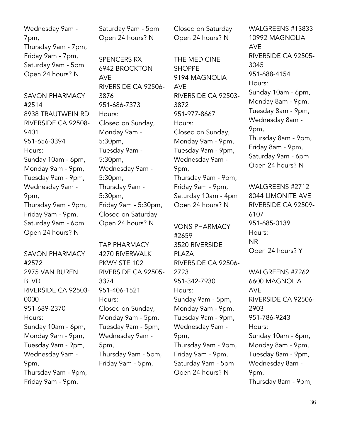Wednesday 9am - 7pm, Thursday 9am - 7pm, Friday 9am - 7pm, Saturday 9am - 5pm Open 24 hours? N

SAVON PHARMACY #2514 8938 TRAUTWEIN RD RIVERSIDE CA 92508- 9401 951-656-3394 Hours: Sunday 10am - 6pm, Monday 9am - 9pm, Tuesday 9am - 9pm, Wednesday 9am - 9pm, Thursday 9am - 9pm, Friday 9am - 9pm, Saturday 9am - 6pm Open 24 hours? N

SAVON PHARMACY #2572 2975 VAN BUREN BLVD RIVERSIDE CA 92503- 0000 951-689-2370 Hours: Sunday 10am - 6pm, Monday 9am - 9pm, Tuesday 9am - 9pm, Wednesday 9am - 9pm, Thursday 9am - 9pm, Friday 9am - 9pm,

Saturday 9am - 5pm Open 24 hours? N

SPENCERS RX 6942 BROCKTON AVE RIVERSIDE CA 92506- 3876 951-686-7373 Hours: Closed on Sunday, Monday 9am - 5:30pm, Tuesday 9am - 5:30pm, Wednesday 9am - 5:30pm, Thursday 9am - 5:30pm, Friday 9am - 5:30pm, Closed on Saturday Open 24 hours? N

TAP PHARMACY 4270 RIVERWALK PKWY STE 102 RIVERSIDE CA 92505- 3374 951-406-1521 Hours: Closed on Sunday, Monday 9am - 5pm, Tuesday 9am - 5pm, Wednesday 9am - 5pm, Thursday 9am - 5pm, Friday 9am - 5pm,

Closed on Saturday Open 24 hours? N

THE MEDICINE **SHOPPF** 9194 MAGNOLIA AVE RIVERSIDE CA 92503- 3872 951-977-8667 Hours: Closed on Sunday, Monday 9am - 9pm, Tuesday 9am - 9pm, Wednesday 9am - 9pm, Thursday 9am - 9pm, Friday 9am - 9pm, Saturday 10am - 4pm Open 24 hours? N

VONS PHARMACY #2659 3520 RIVERSIDE PI A7A RIVERSIDE CA 92506- 2723 951-342-7930 Hours: Sunday 9am - 5pm, Monday 9am - 9pm, Tuesday 9am - 9pm, Wednesday 9am - 9pm, Thursday 9am - 9pm, Friday 9am - 9pm, Saturday 9am - 5pm Open 24 hours? N

WALGREENS #13833 10992 MAGNOLIA AVE RIVERSIDE CA 92505- 3045 951-688-4154 Hours: Sunday 10am - 6pm, Monday 8am - 9pm, Tuesday 8am - 9pm, Wednesday 8am - 9pm, Thursday 8am - 9pm, Friday 8am - 9pm, Saturday 9am - 6pm Open 24 hours? N

WALGREENS #2712 8044 LIMONITE AVE RIVERSIDE CA 92509- 6107 951-685-0139 Hours: NR Open 24 hours? Y

WALGREENS #7262 6600 MAGNOLIA AVE RIVERSIDE CA 92506- 2903 951-786-9243 Hours: Sunday 10am - 6pm, Monday 8am - 9pm, Tuesday 8am - 9pm, Wednesday 8am - 9pm, Thursday 8am - 9pm,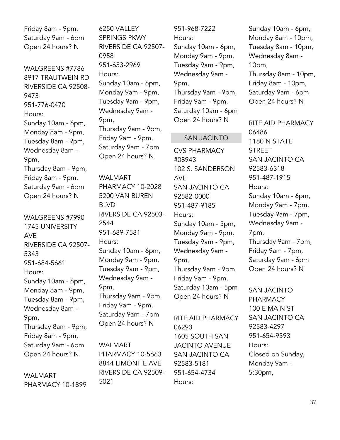Friday 8am - 9pm, Saturday 9am - 6pm Open 24 hours? N

WALGREENS #7786 8917 TRAUTWEIN RD RIVERSIDE CA 92508- 9473 951-776-0470 Hours: Sunday 10am - 6pm, Monday 8am - 9pm, Tuesday 8am - 9pm, Wednesday 8am - 9pm, Thursday 8am - 9pm, Friday 8am - 9pm, Saturday 9am - 6pm Open 24 hours? N

WALGREENS #7990 1745 UNIVERSITY AVE RIVERSIDE CA 92507- 5343 951-684-5661 Hours: Sunday 10am - 6pm, Monday 8am - 9pm, Tuesday 8am - 9pm, Wednesday 8am - 9pm, Thursday 8am - 9pm, Friday 8am - 9pm, Saturday 9am - 6pm Open 24 hours? N

#### WALMART PHARMACY 10-1899

6250 VALLEY SPRINGS PKWY RIVERSIDE CA 92507- 0958 951-653-2969 Hours: Sunday 10am - 6pm, Monday 9am - 9pm, Tuesday 9am - 9pm, Wednesday 9am - 9pm, Thursday 9am - 9pm, Friday 9am - 9pm, Saturday 9am - 7pm Open 24 hours? N

WALMART PHARMACY 10-2028 5200 VAN BUREN BLVD RIVERSIDE CA 92503- 2544 951-689-7581 Hours: Sunday 10am - 6pm, Monday 9am - 9pm, Tuesday 9am - 9pm, Wednesday 9am - 9pm, Thursday 9am - 9pm, Friday 9am - 9pm, Saturday 9am - 7pm Open 24 hours? N

WALMART PHARMACY 10-5663 8844 LIMONITE AVE RIVERSIDE CA 92509- 5021

951-968-7222 Hours: Sunday 10am - 6pm, Monday 9am - 9pm, Tuesday 9am - 9pm, Wednesday 9am - 9pm, Thursday 9am - 9pm, Friday 9am - 9pm, Saturday 10am - 6pm Open 24 hours? N

#### SAN JACINTO

CVS PHARMACY #08943 102 S. SANDERSON AVE SAN JACINTO CA 92582-0000 951-487-9185 Hours: Sunday 10am - 5pm, Monday 9am - 9pm, Tuesday 9am - 9pm, Wednesday 9am - 9pm, Thursday 9am - 9pm, Friday 9am - 9pm, Saturday 10am - 5pm Open 24 hours? N

RITE AID PHARMACY 06293 1605 SOUTH SAN JACINTO AVENUE SAN JACINTO CA 92583-5181 951-654-4734 Hours:

Sunday 10am - 6pm, Monday 8am - 10pm, Tuesday 8am - 10pm, Wednesday 8am - 10pm, Thursday 8am - 10pm, Friday 8am - 10pm, Saturday 9am - 6pm Open 24 hours? N

RITE AID PHARMACY 06486 1180 N STATE **STREET** SAN JACINTO CA 92583-6318 951-487-1915 Hours: Sunday 10am - 6pm, Monday 9am - 7pm, Tuesday 9am - 7pm, Wednesday 9am - 7pm, Thursday 9am - 7pm, Friday 9am - 7pm, Saturday 9am - 6pm Open 24 hours? N

SAN JACINTO PHARMACY 100 E MAIN ST SAN JACINTO CA 92583-4297 951-654-9393 Hours: Closed on Sunday, Monday 9am - 5:30pm,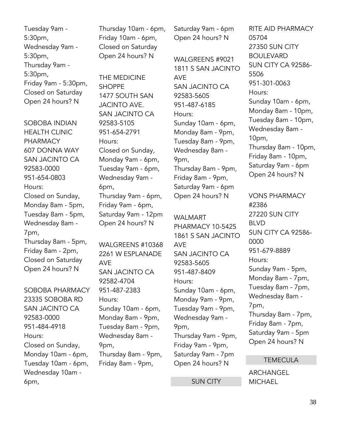Tuesday 9am - 5:30pm, Wednesday 9am - 5:30pm, Thursday 9am - 5:30pm, Friday 9am - 5:30pm, Closed on Saturday Open 24 hours? N

SOBOBA INDIAN HEALTH CLINIC PHARMACY 607 DONNA WAY SAN JACINTO CA 92583-0000 951-654-0803 Hours: Closed on Sunday, Monday 8am - 5pm, Tuesday 8am - 5pm, Wednesday 8am - 7pm, Thursday 8am - 5pm, Friday 8am - 2pm, Closed on Saturday Open 24 hours? N

SOBOBA PHARMACY 23335 SOBOBA RD SAN JACINTO CA 92583-0000 951-484-4918 Hours: Closed on Sunday, Monday 10am - 6pm, Tuesday 10am - 6pm, Wednesday 10am - 6pm,

Thursday 10am - 6pm, Friday 10am - 6pm, Closed on Saturday Open 24 hours? N

THE MEDICINE **SHOPPE** 1477 SOUTH SAN JACINTO AVE. SAN JACINTO CA 92583-5105 951-654-2791 Hours: Closed on Sunday, Monday 9am - 6pm, Tuesday 9am - 6pm, Wednesday 9am - 6pm, Thursday 9am - 6pm, Friday 9am - 6pm, Saturday 9am - 12pm Open 24 hours? N

WALGREENS #10368 2261 W ESPLANADE AVE SAN JACINTO CA 92582-4704 951-487-2383 Hours: Sunday 10am - 6pm, Monday 8am - 9pm, Tuesday 8am - 9pm, Wednesday 8am - 9pm, Thursday 8am - 9pm, Friday 8am - 9pm,

Saturday 9am - 6pm Open 24 hours? N

WALGREENS #9021 1811 S SAN JACINTO AVE SAN JACINTO CA 92583-5605 951-487-6185 Hours: Sunday 10am - 6pm, Monday 8am - 9pm, Tuesday 8am - 9pm, Wednesday 8am - 9pm, Thursday 8am - 9pm, Friday 8am - 9pm, Saturday 9am - 6pm Open 24 hours? N

WALMART PHARMACY 10-5425 1861 S SAN JACINTO AVE SAN JACINTO CA 92583-5605 951-487-8409 Hours: Sunday 10am - 6pm, Monday 9am - 9pm, Tuesday 9am - 9pm, Wednesday 9am - 9pm, Thursday 9am - 9pm, Friday 9am - 9pm, Saturday 9am - 7pm Open 24 hours? N

SUN CITY

RITE AID PHARMACY 05704 27350 SUN CITY **BOULEVARD** SUN CITY CA 92586- 5506 951-301-0063 Hours: Sunday 10am - 6pm, Monday 8am - 10pm, Tuesday 8am - 10pm, Wednesday 8am - 10pm, Thursday 8am - 10pm, Friday 8am - 10pm, Saturday 9am - 6pm Open 24 hours? N

VONS PHARMACY #2386 27220 SUN CITY BLVD SUN CITY CA 92586- 0000 951-679-8889 Hours: Sunday 9am - 5pm, Monday 8am - 7pm, Tuesday 8am - 7pm, Wednesday 8am - 7pm, Thursday 8am - 7pm, Friday 8am - 7pm, Saturday 9am - 5pm Open 24 hours? N

#### **TEMECULA**

ARCHANGEL **MICHAEL**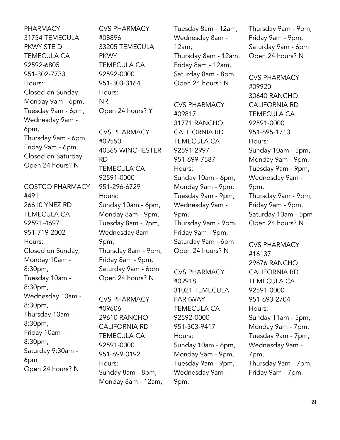PHARMACY 31754 TEMECULA PKWY STE D TEMECULA CA 92592-6805 951-302-7733 Hours: Closed on Sunday, Monday 9am - 6pm, Tuesday 9am - 6pm, Wednesday 9am - 6pm, Thursday 9am - 6pm, Friday 9am - 6pm, Closed on Saturday Open 24 hours? N

COSTCO PHARMACY #491 26610 YNEZ RD TEMECULA CA 92591-4697 951-719-2002 Hours: Closed on Sunday, Monday 10am - 8:30pm, Tuesday 10am - 8:30pm, Wednesday 10am - 8:30pm, Thursday 10am - 8:30pm, Friday 10am - 8:30pm, Saturday 9:30am - 6pm Open 24 hours? N

CVS PHARMACY #08896 33205 TEMECULA **PKWY** TEMECULA CA 92592-0000 951-303-3164 Hours: NR Open 24 hours? Y

CVS PHARMACY #09550 40365 WINCHESTER RD TEMECULA CA 92591-0000 951-296-6729 Hours: Sunday 10am - 6pm, Monday 8am - 9pm, Tuesday 8am - 9pm, Wednesday 8am - 9pm, Thursday 8am - 9pm, Friday 8am - 9pm, Saturday 9am - 6pm Open 24 hours? N

CVS PHARMACY #09606 29610 RANCHO CALIFORNIA RD TEMECULA CA 92591-0000 951-699-0192 Hours: Sunday 8am - 8pm, Monday 8am - 12am, Tuesday 8am - 12am, Wednesday 8am - 12am, Thursday 8am - 12am, Friday 8am - 12am, Saturday 8am - 8pm Open 24 hours? N

CVS PHARMACY #09817 31771 RANCHO CALIFORNIA RD TEMECULA CA 92591-2997 951-699-7587 Hours: Sunday 10am - 6pm, Monday 9am - 9pm, Tuesday 9am - 9pm, Wednesday 9am - 9pm, Thursday 9am - 9pm, Friday 9am - 9pm, Saturday 9am - 6pm Open 24 hours? N

CVS PHARMACY #09918 31021 TEMECULA PARKWAY TEMECULA CA 92592-0000 951-303-9417 Hours: Sunday 10am - 6pm, Monday 9am - 9pm, Tuesday 9am - 9pm, Wednesday 9am - 9pm,

Thursday 9am - 9pm, Friday 9am - 9pm, Saturday 9am - 6pm Open 24 hours? N

CVS PHARMACY #09920 30640 RANCHO CALIFORNIA RD TEMECULA CA 92591-0000 951-695-1713 Hours: Sunday 10am - 5pm, Monday 9am - 9pm, Tuesday 9am - 9pm, Wednesday 9am - 9pm, Thursday 9am - 9pm, Friday 9am - 9pm, Saturday 10am - 5pm Open 24 hours? N

CVS PHARMACY #16137 29676 RANCHO CALIFORNIA RD TEMECULA CA 92591-0000 951-693-2704 Hours: Sunday 11am - 5pm, Monday 9am - 7pm, Tuesday 9am - 7pm, Wednesday 9am - 7pm, Thursday 9am - 7pm, Friday 9am - 7pm,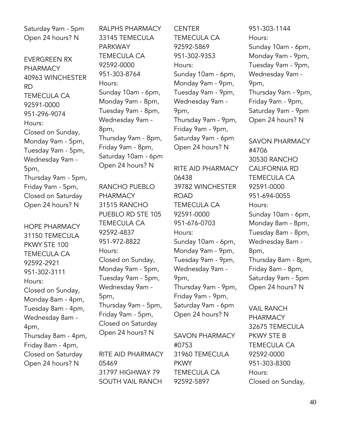Saturday 9am - 5pm Open 24 hours? N

EVERGREEN RX PHARMACY 40963 WINCHESTER RD TEMECULA CA 92591-0000 951-296-9074 Hours: Closed on Sunday, Monday 9am - 5pm, Tuesday 9am - 5pm, Wednesday 9am - 5pm, Thursday 9am - 5pm, Friday 9am - 5pm, Closed on Saturday Open 24 hours? N

HOPE PHARMACY 31150 TEMECULA PKWY STE 100 TEMECULA CA 92592-2921 951-302-3111 Hours: Closed on Sunday, Monday 8am - 4pm, Tuesday 8am - 4pm, Wednesday 8am - 4pm, Thursday 8am - 4pm, Friday 8am - 4pm, Closed on Saturday Open 24 hours? N

RALPHS PHARMACY 33145 TEMECULA PARKWAY TEMECULA CA 92592-0000 951-303-8764 Hours: Sunday 10am - 6pm, Monday 9am - 8pm, Tuesday 9am - 8pm, Wednesday 9am - 8pm, Thursday 9am - 8pm, Friday 9am - 8pm, Saturday 10am - 6pm Open 24 hours? N

RANCHO PUEBLO PHARMACY 31515 RANCHO PUEBLO RD STE 105 TEMECULA CA 92592-4837 951-972-8822 Hours: Closed on Sunday, Monday 9am - 5pm, Tuesday 9am - 5pm, Wednesday 9am - 5pm, Thursday 9am - 5pm, Friday 9am - 5pm, Closed on Saturday Open 24 hours? N

RITE AID PHARMACY 05469 31797 HIGHWAY 79 SOUTH VAIL RANCH

**CENTER** TEMECULA CA 92592-5869 951-302-9353 Hours: Sunday 10am - 6pm, Monday 9am - 9pm, Tuesday 9am - 9pm, Wednesday 9am - 9pm, Thursday 9am - 9pm, Friday 9am - 9pm, Saturday 9am - 6pm Open 24 hours? N

RITE AID PHARMACY 06438 39782 WINCHESTER ROAD TEMECULA CA 92591-0000 951-676-0703 Hours: Sunday 10am - 6pm, Monday 9am - 9pm, Tuesday 9am - 9pm, Wednesday 9am - 9pm, Thursday 9am - 9pm, Friday 9am - 9pm, Saturday 9am - 6pm Open 24 hours? N

SAVON PHARMACY #0753 31960 TEMECULA **PKWY** TEMECULA CA 92592-5897

951-303-1144 Hours: Sunday 10am - 6pm, Monday 9am - 9pm, Tuesday 9am - 9pm, Wednesday 9am - 9pm, Thursday 9am - 9pm, Friday 9am - 9pm, Saturday 9am - 9pm Open 24 hours? N

SAVON PHARMACY #4706 30530 RANCHO CALIFORNIA RD TEMECULA CA 92591-0000 951-694-0055 Hours: Sunday 10am - 6pm, Monday 8am - 8pm, Tuesday 8am - 8pm, Wednesday 8am - 8pm, Thursday 8am - 8pm, Friday 8am - 8pm, Saturday 9am - 5pm Open 24 hours? N

VAIL RANCH PHARMACY 32675 TEMECULA PKWY STE B TEMECULA CA 92592-0000 951-303-8300 Hours: Closed on Sunday,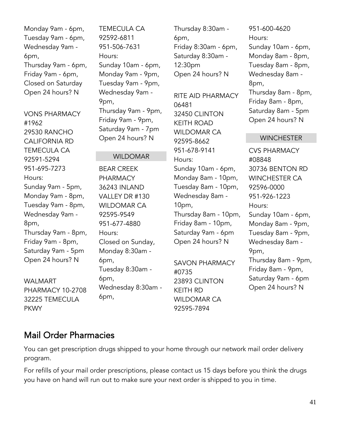Monday 9am - 6pm, Tuesday 9am - 6pm, Wednesday 9am - 6pm, Thursday 9am - 6pm, Friday 9am - 6pm, Closed on Saturday Open 24 hours? N

VONS PHARMACY #1962 29530 RANCHO CALIFORNIA RD TEMECULA CA 92591-5294 951-695-7273 Hours: Sunday 9am - 5pm, Monday 9am - 8pm, Tuesday 9am - 8pm, Wednesday 9am - 8pm, Thursday 9am - 8pm, Friday 9am - 8pm, Saturday 9am - 5pm Open 24 hours? N

WALMART PHARMACY 10-2708 32225 TEMECULA PKWY

TEMECULA CA 92592-6811 951-506-7631 Hours: Sunday 10am - 6pm, Monday 9am - 9pm, Tuesday 9am - 9pm, Wednesday 9am - 9pm, Thursday 9am - 9pm, Friday 9am - 9pm, Saturday 9am - 7pm Open 24 hours? N

WILDOMAR

BEAR CREEK PHARMACY 36243 INLAND VALLEY DR #130 WILDOMAR CA 92595-9549 951-677-4880 Hours: Closed on Sunday, Monday 8:30am - 6pm, Tuesday 8:30am - 6pm, Wednesday 8:30am - 6pm,

Thursday 8:30am - 6pm, Friday 8:30am - 6pm, Saturday 8:30am - 12:30pm Open 24 hours? N

RITE AID PHARMACY 06481 32450 CLINTON KEITH ROAD WILDOMAR CA 92595-8662 951-678-9141 Hours: Sunday 10am - 6pm, Monday 8am - 10pm, Tuesday 8am - 10pm, Wednesday 8am - 10pm, Thursday 8am - 10pm, Friday 8am - 10pm, Saturday 9am - 6pm Open 24 hours? N

SAVON PHARMACY #0735 23893 CLINTON KEITH RD WILDOMAR CA 92595-7894

951-600-4620 Hours: Sunday 10am - 6pm, Monday 8am - 8pm, Tuesday 8am - 8pm, Wednesday 8am - 8pm, Thursday 8am - 8pm, Friday 8am - 8pm, Saturday 8am - 5pm Open 24 hours? N

#### **WINCHESTER**

CVS PHARMACY #08848 30736 BENTON RD WINCHESTER CA 92596-0000 951-926-1223 Hours: Sunday 10am - 6pm, Monday 8am - 9pm, Tuesday 8am - 9pm, Wednesday 8am - 9pm, Thursday 8am - 9pm, Friday 8am - 9pm, Saturday 9am - 6pm Open 24 hours? N

## <span id="page-40-0"></span>Mail Order Pharmacies

You can get prescription drugs shipped to your home through our network mail order delivery program.

For refills of your mail order prescriptions, please contact us 15 days before you think the drugs you have on hand will run out to make sure your next order is shipped to you in time.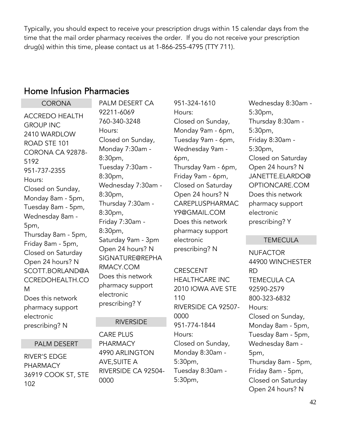Typically, you should expect to receive your prescription drugs within 15 calendar days from the time that the mail order pharmacy receives the order. If you do not receive your prescription drug(s) within this time, please contact us at 1-866-255-4795 (TTY 711).

## <span id="page-41-0"></span>Home Infusion Pharmacies

**CORONA** ACCREDO HEALTH GROUP INC 2410 WARDLOW ROAD STE 101 CORONA CA 92878- 5192 951-737-2355 Hours: Closed on Sunday, Monday 8am - 5pm, Tuesday 8am - 5pm, Wednesday 8am - 5pm, Thursday 8am - 5pm, Friday 8am - 5pm, Closed on Saturday Open 24 hours? N SCOTT.BORLAND@A CCREDOHEALTH.CO M Does this network pharmacy support electronic prescribing? N

#### PALM DESERT

RIVER'S EDGE PHARMACY 36919 COOK ST, STE 102

PALM DESERT CA 92211-6069 760-340-3248 Hours: Closed on Sunday, Monday 7:30am - 8:30pm, Tuesday 7:30am - 8:30pm, Wednesday 7:30am - 8:30pm, Thursday 7:30am - 8:30pm, Friday 7:30am - 8:30pm, Saturday 9am - 3pm Open 24 hours? N SIGNATURE@REPHA RMACY.COM Does this network pharmacy support electronic prescribing? Y

#### RIVERSIDE

CARE PLUS PHARMACY 4990 ARLINGTON AVE,SUITE A RIVERSIDE CA 92504- 0000

951-324-1610 Hours: Closed on Sunday, Monday 9am - 6pm, Tuesday 9am - 6pm, Wednesday 9am - 6pm, Thursday 9am - 6pm, Friday 9am - 6pm, Closed on Saturday Open 24 hours? N CAREPLUSPHARMAC Y9@GMAIL.COM Does this network pharmacy support electronic prescribing? N

CRESCENT HEALTHCARE INC 2010 IOWA AVE STE 110 RIVERSIDE CA 92507- 0000 951-774-1844 Hours: Closed on Sunday, Monday 8:30am - 5:30pm, Tuesday 8:30am - 5:30pm,

Wednesday 8:30am - 5:30pm, Thursday 8:30am - 5:30pm, Friday 8:30am - 5:30pm, Closed on Saturday Open 24 hours? N JANETTE.ELARDO@ OPTIONCARE.COM Does this network pharmacy support electronic prescribing? Y

#### TEMECULA

**NUFACTOR** 44900 WINCHESTER RD TEMECULA CA 92590-2579 800-323-6832 Hours: Closed on Sunday, Monday 8am - 5pm, Tuesday 8am - 5pm, Wednesday 8am - 5pm, Thursday 8am - 5pm, Friday 8am - 5pm, Closed on Saturday Open 24 hours? N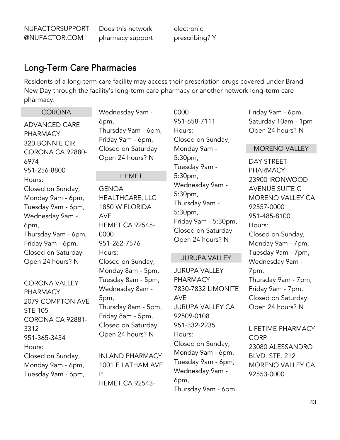NUFACTORSUPPORT @NUFACTOR.COM

Does this network pharmacy support electronic prescribing? Y

### <span id="page-42-0"></span>Long-Term Care Pharmacies

Residents of a long-term care facility may access their prescription drugs covered under Brand New Day through the facility's long-term care pharmacy or another network long-term care pharmacy.

## ADVANCED CARE PHARMACY 320 BONNIE CIR CORONA CA 92880- 6974 951-256-8800 Hours:

**CORONA** 

Closed on Sunday, Monday 9am - 6pm, Tuesday 9am - 6pm, Wednesday 9am - 6pm, Thursday 9am - 6pm, Friday 9am - 6pm, Closed on Saturday Open 24 hours? N

CORONA VALLEY PHARMACY 2079 COMPTON AVE STE 105 CORONA CA 92881- 3312 951-365-3434 Hours: Closed on Sunday, Monday 9am - 6pm, Tuesday 9am - 6pm,

Wednesday 9am - 6pm, Thursday 9am - 6pm, Friday 9am - 6pm, Closed on Saturday Open 24 hours? N

#### **HEMET**

GENOA HEALTHCARE, LLC 1850 W FLORIDA AVE HEMET CA 92545- 0000 951-262-7576 Hours: Closed on Sunday, Monday 8am - 5pm, Tuesday 8am - 5pm, Wednesday 8am - 5pm, Thursday 8am - 5pm, Friday 8am - 5pm, Closed on Saturday Open 24 hours? N

INLAND PHARMACY 1001 E LATHAM AVE P HEMET CA 925430000 951-658-7111 Hours: Closed on Sunday, Monday 9am - 5:30pm, Tuesday 9am - 5:30pm, Wednesday 9am - 5:30pm, Thursday 9am - 5:30pm, Friday 9am - 5:30pm, Closed on Saturday Open 24 hours? N

#### JURUPA VALLEY

JURUPA VALLEY PHARMACY 7830-7832 LIMONITE AVE JURUPA VALLEY CA 92509-0108 951-332-2235 Hours: Closed on Sunday, Monday 9am - 6pm, Tuesday 9am - 6pm, Wednesday 9am - 6pm, Thursday 9am - 6pm,

Friday 9am - 6pm, Saturday 10am - 1pm Open 24 hours? N

#### MORENO VALLEY

DAY STREET PHARMACY 23900 IRONWOOD AVENUE SUITE C MORENO VALLEY CA 92557-0000 951-485-8100 Hours: Closed on Sunday, Monday 9am - 7pm, Tuesday 9am - 7pm, Wednesday 9am - 7pm, Thursday 9am - 7pm, Friday 9am - 7pm, Closed on Saturday Open 24 hours? N

### LIFETIME PHARMACY

**CORP** 23080 ALESSANDRO BLVD. STE. 212 MORENO VALLEY CA 92553-0000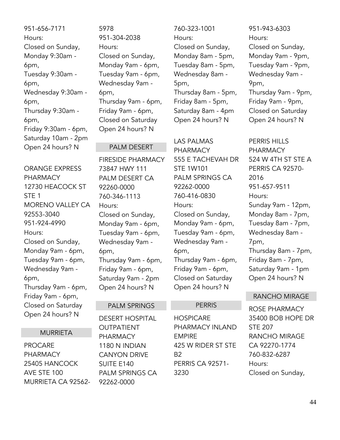951-656-7171 Hours: Closed on Sunday, Monday 9:30am - 6pm, Tuesday 9:30am - 6pm, Wednesday 9:30am - 6pm, Thursday 9:30am - 6pm, Friday 9:30am - 6pm, Saturday 10am - 2pm Open 24 hours? N

ORANGE EXPRESS PHARMACY 12730 HEACOCK ST STE 1 MORENO VALLEY CA 92553-3040 951-924-4990 Hours: Closed on Sunday, Monday 9am - 6pm, Tuesday 9am - 6pm, Wednesday 9am - 6pm, Thursday 9am - 6pm, Friday 9am - 6pm, Closed on Saturday Open 24 hours? N

#### MURRIETA

PROCARE PHARMACY 25405 HANCOCK AVE STE 100 MURRIETA CA 925625978 951-304-2038 Hours: Closed on Sunday, Monday 9am - 6pm, Tuesday 9am - 6pm, Wednesday 9am - 6pm, Thursday 9am - 6pm, Friday 9am - 6pm, Closed on Saturday Open 24 hours? N

#### PALM DESERT

FIRESIDE PHARMACY 73847 HWY 111 PALM DESERT CA 92260-0000 760-346-1113 Hours: Closed on Sunday, Monday 9am - 6pm, Tuesday 9am - 6pm, Wednesday 9am - 6pm, Thursday 9am - 6pm, Friday 9am - 6pm, Saturday 9am - 2pm Open 24 hours? N

#### PALM SPRINGS

DESERT HOSPITAL OUTPATIENT PHARMACY 1180 N INDIAN CANYON DRIVE SUITE E140 PALM SPRINGS CA 92262-0000

760-323-1001 Hours: Closed on Sunday, Monday 8am - 5pm, Tuesday 8am - 5pm, Wednesday 8am - 5pm, Thursday 8am - 5pm, Friday 8am - 5pm, Saturday 8am - 4pm Open 24 hours? N

LAS PALMAS PHARMACY 555 E TACHEVAH DR STE 1W101 PALM SPRINGS CA 92262-0000 760-416-0830 Hours: Closed on Sunday, Monday 9am - 6pm, Tuesday 9am - 6pm, Wednesday 9am - 6pm, Thursday 9am - 6pm, Friday 9am - 6pm, Closed on Saturday Open 24 hours? N

#### **PERRIS**

**HOSPICARE** PHARMACY INLAND EMPIRE 425 W RIDER ST STE B2 PERRIS CA 92571- 3230

951-943-6303 Hours: Closed on Sunday, Monday 9am - 9pm, Tuesday 9am - 9pm, Wednesday 9am - 9pm, Thursday 9am - 9pm, Friday 9am - 9pm, Closed on Saturday Open 24 hours? N

PERRIS HILLS PHARMACY 524 W 4TH ST STE A PERRIS CA 92570- 2016 951-657-9511 Hours: Sunday 9am - 12pm, Monday 8am - 7pm, Tuesday 8am - 7pm, Wednesday 8am - 7pm, Thursday 8am - 7pm, Friday 8am - 7pm, Saturday 9am - 1pm Open 24 hours? N

#### RANCHO MIRAGE

ROSE PHARMACY 35400 BOB HOPE DR STE 207 RANCHO MIRAGE CA 92270-1774 760-832-6287 Hours: Closed on Sunday,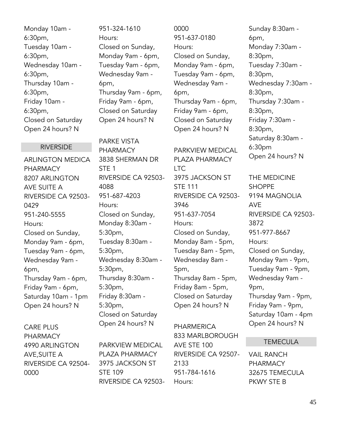Monday 10am - 6:30pm, Tuesday 10am - 6:30pm, Wednesday 10am - 6:30pm, Thursday 10am - 6:30pm, Friday 10am - 6:30pm, Closed on Saturday Open 24 hours? N

#### RIVERSIDE

ARLINGTON MEDICA PHARMACY 8207 ARLINGTON AVE SUITE A RIVERSIDE CA 92503- 0429 951-240-5555 Hours: Closed on Sunday, Monday 9am - 6pm, Tuesday 9am - 6pm, Wednesday 9am - 6pm, Thursday 9am - 6pm, Friday 9am - 6pm, Saturday 10am - 1pm Open 24 hours? N

CARE PLUS PHARMACY 4990 ARLINGTON AVE,SUITE A RIVERSIDE CA 92504- 0000

951-324-1610 Hours: Closed on Sunday, Monday 9am - 6pm, Tuesday 9am - 6pm, Wednesday 9am - 6pm, Thursday 9am - 6pm, Friday 9am - 6pm, Closed on Saturday Open 24 hours? N

PARKE VISTA PHARMACY 3838 SHERMAN DR ST<sub>F</sub> 1 RIVERSIDE CA 92503- 4088 951-687-4203 Hours: Closed on Sunday, Monday 8:30am - 5:30pm, Tuesday 8:30am - 5:30pm, Wednesday 8:30am - 5:30pm, Thursday 8:30am - 5:30pm, Friday 8:30am - 5:30pm, Closed on Saturday Open 24 hours? N

PARKVIEW MEDICAL PLAZA PHARMACY 3975 JACKSON ST STE 109 RIVERSIDE CA 925030000 951-637-0180 Hours: Closed on Sunday, Monday 9am - 6pm, Tuesday 9am - 6pm, Wednesday 9am - 6pm, Thursday 9am - 6pm, Friday 9am - 6pm, Closed on Saturday Open 24 hours? N

PARKVIEW MEDICAL PLAZA PHARMACY LTC 3975 JACKSON ST STE 111 RIVERSIDE CA 92503- 3946 951-637-7054 Hours: Closed on Sunday, Monday 8am - 5pm, Tuesday 8am - 5pm, Wednesday 8am - 5pm, Thursday 8am - 5pm, Friday 8am - 5pm, Closed on Saturday Open 24 hours? N

PHARMERICA 833 MARLBOROUGH AVE STE 100 RIVERSIDE CA 92507- 2133 951-784-1616 Hours:

Sunday 8:30am - 6pm, Monday 7:30am - 8:30pm, Tuesday 7:30am - 8:30pm, Wednesday 7:30am - 8:30pm, Thursday 7:30am - 8:30pm, Friday 7:30am - 8:30pm, Saturday 8:30am - 6:30pm Open 24 hours? N

THE MEDICINE **SHOPPE** 9194 MAGNOLIA AVE RIVERSIDE CA 92503- 3872 951-977-8667 Hours: Closed on Sunday, Monday 9am - 9pm, Tuesday 9am - 9pm, Wednesday 9am - 9pm, Thursday 9am - 9pm, Friday 9am - 9pm, Saturday 10am - 4pm Open 24 hours? N

#### **TEMECULA**

VAIL RANCH PHARMACY 32675 TEMECULA PKWY STE B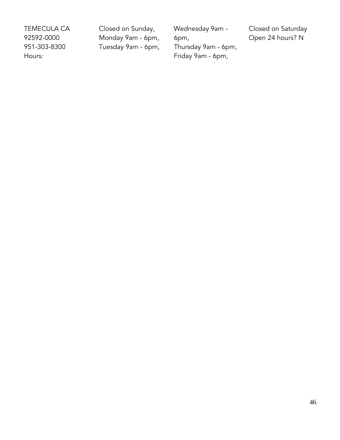TEMECULA CA 92592-0000 951-303-8300 Hours:

Closed on Sunday, Monday 9am - 6pm, Tuesday 9am - 6pm, Wednesday 9am - 6pm, Thursday 9am - 6pm, Friday 9am - 6pm,

Closed on Saturday Open 24 hours? N